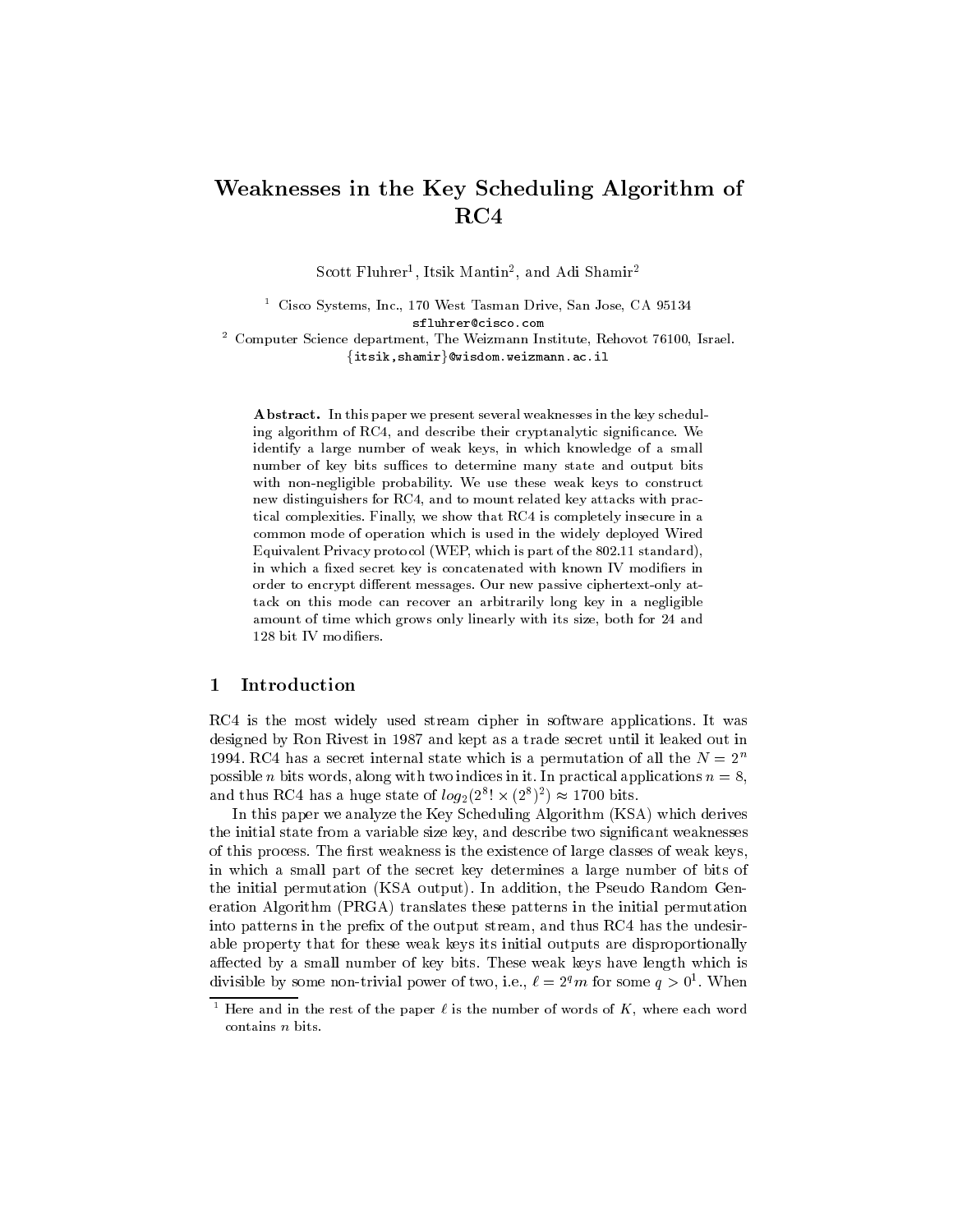# Weaknesses in the Key Scheduling Algorithm of  $RC4$

Scott Fluhrer , Itsik Mantin-, and Adi Shamir-

<sup>1</sup> Cisco Systems, Inc., 170 West Tasman Drive, San Jose, CA 95134 sfluhrer@cisco.com <sup>2</sup> Computer Science department, The Weizmann Institute, Rehovot 76100, Israel.  $\{itsik,shamir\}$ @wisdom.weizmann.ac.il

Abstract. In this paper we present several weaknesses in the key scheduling algorithm of RC4, and describe their cryptanalytic signicance. We identify a large number of weak keys, in which knowledge of a small number of key bits suffices to determine many state and output bits with non-negligible probability. We use these weak keys to construct new distinguishers for RC4, and to mount related key attacks with practical complexities. Finally, we show that RC4 is completely insecure in a common mode of operation which is used in the widely deployed Wired Equivalent Privacy protocol (WEP, which is part of the 802.11 standard), in which a fixed secret key is concatenated with known IV modifiers in order to encrypt different messages. Our new passive ciphertext-only attack on this mode can recover an arbitrarily long key in a negligible amount of time which grows only linearly with its size, both for 24 and 128 bit IV modiers.

## 1 Introduction

RC4 is the most widely used stream cipher in software applications. It was designed by Ron Rivest in 1987 and kept as a trade secret until it leaked out in 1994. RC4 has a secret internal state which is a permutation of all the  $N = 2<sup>n</sup>$ possible *n* bits words, along with two indices in it. In practical applications  $n = 8$ , and thus RC4 has a huge state of  $log_2(2^{\circ} \times (2^{\circ})^2) \approx 1700$  bits.

In this paper we analyze the Key Scheduling Algorithm (KSA) which derives the initial state from a variable size key, and describe two signicant weaknesses of this process. The first weakness is the existence of large classes of weak keys, in which a small part of the secret key determines a large number of bits of the initial permutation (KSA output). In addition, the Pseudo Random Generation Algorithm (PRGA) translates these patterns in the initial permutation into patterns in the prefix of the output stream, and thus RC4 has the undesirable property that for these weak keys its initial outputs are disproportionally affected by a small number of key bits. These weak keys have length which is divisible by some non-trivial power of two, i.e.,  $\ell \equiv 2^* m$  for some  $q > 0$ . When

Here and in the rest of the paper  $\ell$  is the number of words of  $K$ , where each word contains n bits.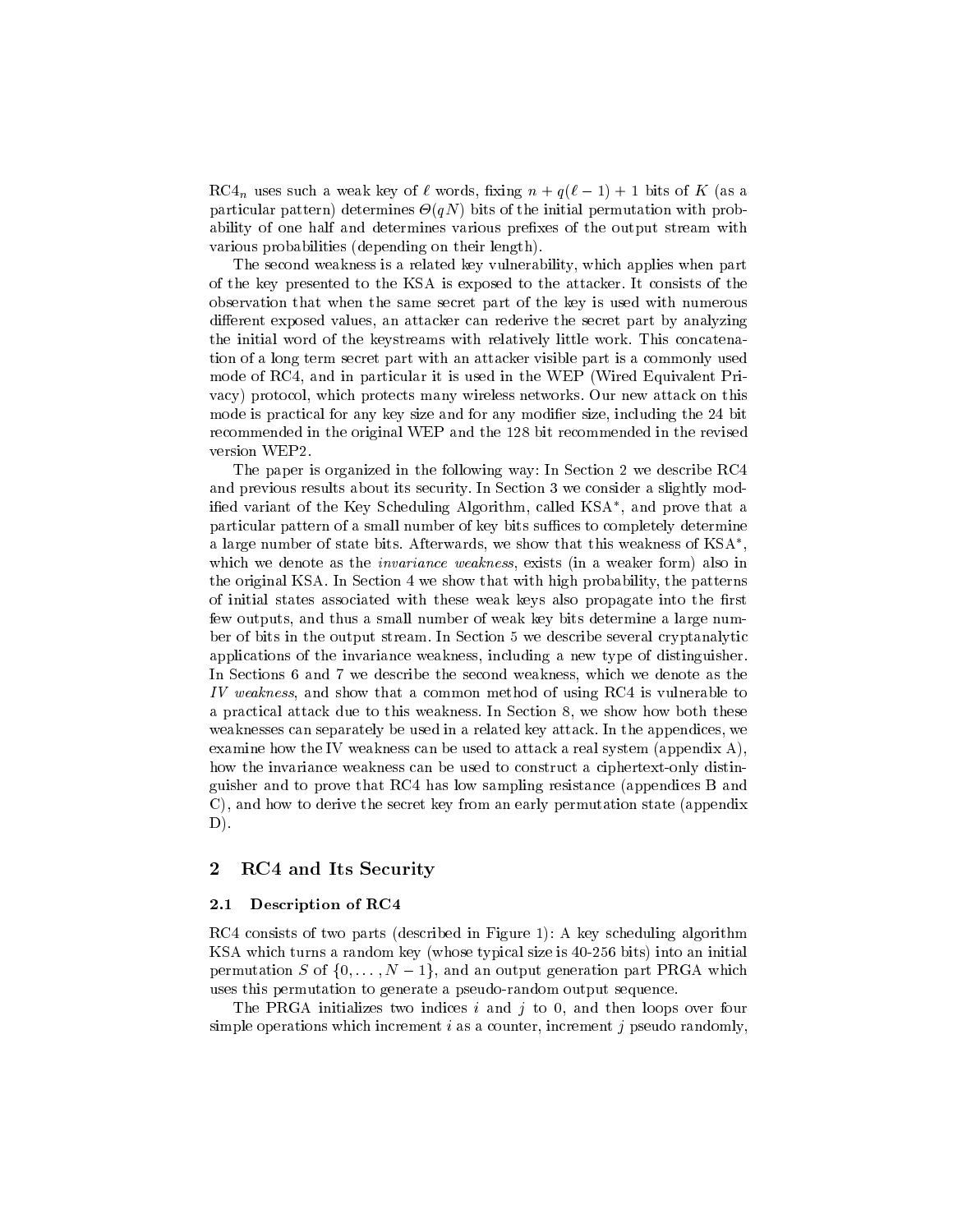RC4<sub>n</sub> uses such a weak key of  $\ell$  words, fixing  $n + q(\ell - 1) + 1$  bits of K (as a particular pattern) determines -(qN) bits of the initial permutation with probability of one half and determines various prefixes of the output stream with various probabilities (depending on their length).

The second weakness is a related key vulnerability, which applies when part of the key presented to the KSA is exposed to the attacker. It consists of the observation that when the same secret part of the key is used with numerous different exposed values, an attacker can rederive the secret part by analyzing the initial word of the keystreams with relatively little work. This concatenation of a long term secret part with an attacker visible part is a commonly used mode of RC4, and in particular it is used in the WEP (Wired Equivalent Pri vacy) protocol, which protects many wireless networks. Our new attack on this mode is practical for any key size and for any modifier size, including the 24 bit recommended in the original WEP and the 128 bit recommended in the revised version WEP2.

The paper is organized in the following way: In Section 2 we describe RC4 and previous results about its security. In Section 3 we consider a slightly modied variant of the Key Scheduling Algorithm, called KSA , and prove that a particular pattern of a small number of key bits suffices to completely determine a large number of state bits. Afterwards, we show that this weakness of KSA , and the contract of the contract of the contract of the contract of the contract of the contract of the contract of the contract of the contract of the contract of the contract of the contract of the contract of the con which we denote as the *invariance weakness*, exists (in a weaker form) also in the original KSA. In Section 4 we show that with high probability, the patterns of initial states associated with these weak keys also propagate into the first few outputs, and thus a small number of weak key bits determine a large number of bits in the output stream. In Section 5 we describe several cryptanalytic applications of the invariance weakness, including a new type of distinguisher. In Sections 6 and 7 we describe the second weakness, which we denote as the IV weakness, and show that a common method of using RC4 is vulnerable to a practical attack due to this weakness. In Section 8, we show how both these weaknesses can separately be used in a related key attack. In the appendices, we examine how the IV weakness can be used to attack a real system (appendix A), how the invariance weakness can be used to construct a ciphertext-only distinguisher and to prove that RC4 has low sampling resistance (appendices B and C), and how to derive the secret key from an early permutation state (appendix D).

## 2 RC4 and Its Security

#### 2.1 Description of RC4

RC4 consists of two parts (described in Figure 1): A key scheduling algorithm KSA which turns a random key (whose typical size is 40-256 bits) into an initial permutation S of  $\{0,\ldots,N-1\}$ , and an output generation part PRGA which uses this permutation to generate a pseudo-random output sequence.

The PRGA initializes two indices  $i$  and  $j$  to 0, and then loops over four simple operations which increment  $i$  as a counter, increment  $j$  pseudo randomly,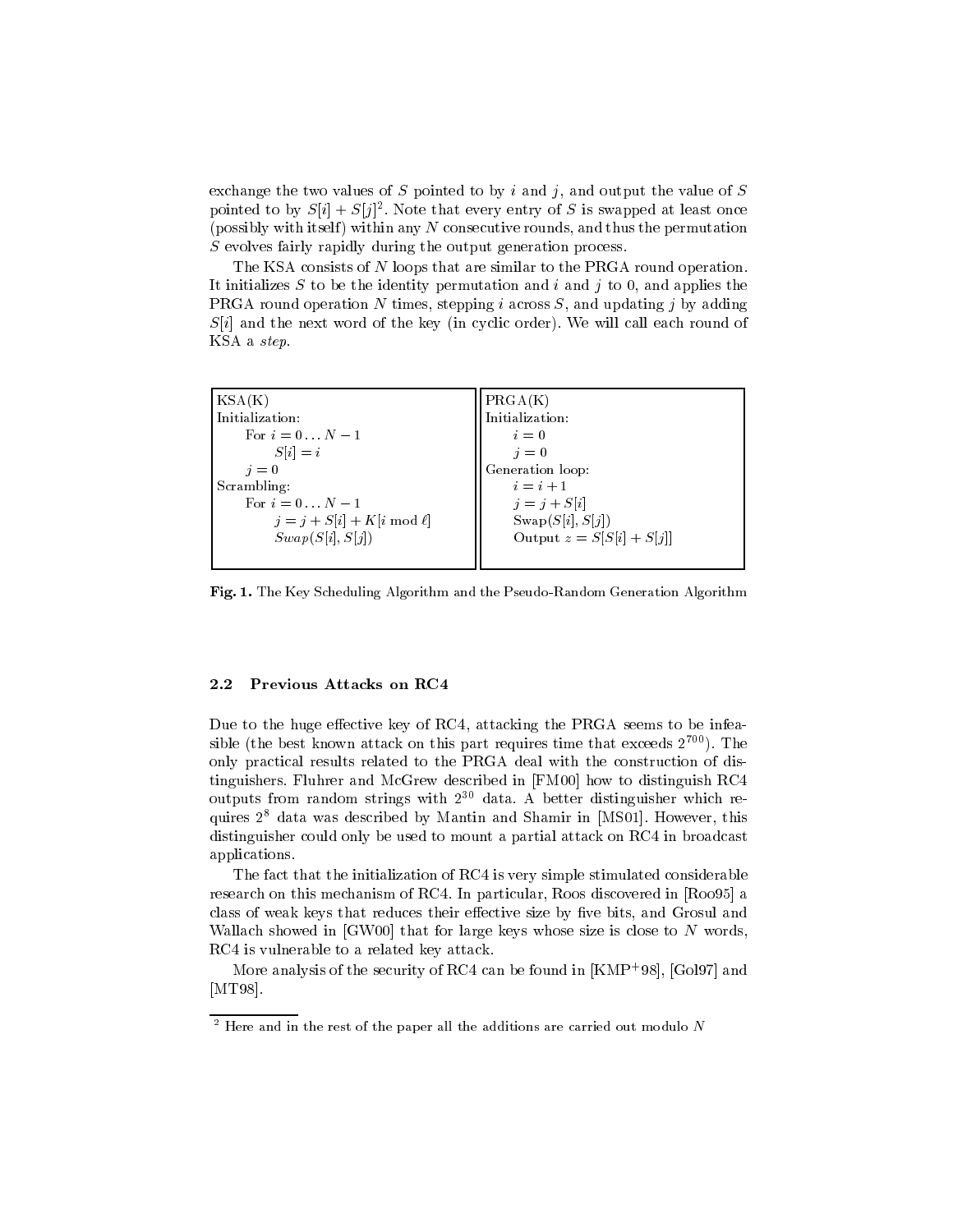exchange the two values of  $S$  pointed to by  $i$  and  $j$ , and output the value of  $S$ pointed to by  $S[i] + S[j]$ . Note that every entry of S is swapped at least once (possibly with itself) within any  $N$  consecutive rounds, and thus the permutation S evolves fairly rapidly during the output generation process.

The KSA consists of N loops that are similar to the PRGA round operation. It initializes S to be the identity permutation and  $i$  and  $j$  to 0, and applies the PRGA round operation N times, stepping i across  $S$ , and updating j by adding  $S[i]$  and the next word of the key (in cyclic order). We will call each round of KSA a step.

| KSA(K)                          | PRGA(K)                     |
|---------------------------------|-----------------------------|
| Initialization:                 | Initialization:             |
| For $i = 0N - 1$                | $i=0$                       |
| $S[i] = i$                      | $i=0$                       |
| $i=0$                           | Generation loop:            |
| Scrambling:                     | $i=i+1$                     |
| For $i = 0N - 1$                | $j = j + S[i]$              |
| $j = j + S[i] + K[i \mod \ell]$ | $\text{Swap}(S[i], S[j])$   |
| Swap(S[i], S[j])                | Output $z = S[S[i] + S[j]]$ |
|                                 |                             |

Fig. 1. The Key Scheduling Algorithm and the Pseudo-Random Generation Algorithm

### 2.2 Previous Attacks on RC4

Due to the huge effective key of RC4, attacking the PRGA seems to be infeasible (the best known attack on this part requires time that exceeds  $2^{700}$ ). The only practical results related to the PRGA deal with the construction of distinguishers. Fluhrer and McGrew described in [FM00] how to distinguish RC4 outputs from random strings with  $2^{30}$  data. A better distinguisher which requires 28 data was described by Mantin and Shamir in [MS01]. However, this distinguisher could only be used to mount a partial attack on RC4 in broadcast applications.

The fact that the initialization of RC4 is very simple stimulated considerable research on this mechanism of RC4. In particular, Roos discovered in [Roo95] a class of weak keys that reduces their effective size by five bits, and Grosul and Wallach showed in  $[GW00]$  that for large keys whose size is close to  $N$  words, RC4 is vulnerable to a related key attack.

More analysis of the security of KC4 can be found in  $|KMF+98|,$  [GOI97] and  $\,$ [MT98].

<sup>2</sup> Here and in the rest of the paper all the additions are carried out modulo N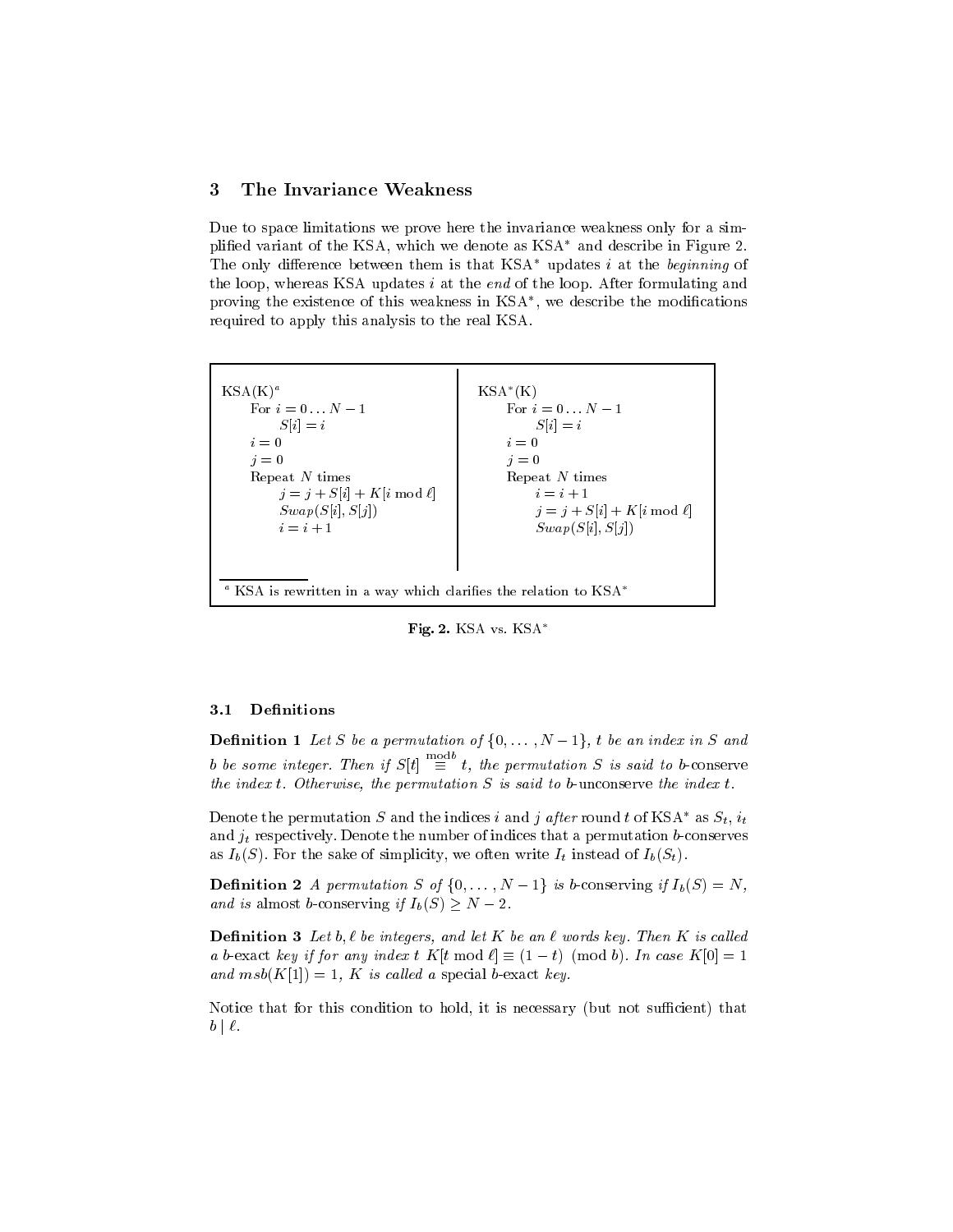## 3 The Invariance Weakness

Due to space limitations we prove here the invariance weakness only for a simplified variant of the KSA, which we denote as  $KSA^*$  and describe in Figure 2. The only difference between them is that  $KSA^*$  updates i at the beginning of the loop, whereas KSA updates *i* at the *end* of the loop. After formulating and proving the existence of this weakness in KSA , we describe the modications required to apply this analysis to the real KSA.



Fig. 2. KSA vs. KSA\*

## 3.1 Definitions

**Definition 1** Let S be a permutation of  $\{0,\ldots,N-1\}$ , t be an index in S and b be some integer. Then if  $S[t] \equiv t$ , the permutation S is said to b-conserve the index  $t$ . Otherwise, the permutation  $S$  is said to b-unconserve the index  $t$ .

Denote the permutation S and the indices i and j after round t of KSA\* as  $S_t$ ,  $i_t$ and  $j_t$  respectively. Denote the number of indices that a permutation b-conserves as  $I_b(S)$ . For the sake of simplicity, we often write  $I_t$  instead of  $I_b(S_t)$ .

**Definition 2** A permutation S of  $\{0, \ldots, N-1\}$  is b-conserving if  $I_b(S) = N$ , and is almost b-conserving if  $I_b(S) \geq N - 2$ .

**Definition 3** Let b,  $\ell$  be integers, and let K be an  $\ell$  words key. Then K is called a b-exact key if for any index t  $K[t \mod \ell] \equiv (1 - t) \pmod{b}$ . In case  $K[0] = 1$ and  $msb(K[1]) = 1$ , K is called a special b-exact key.

Notice that for this condition to hold, it is necessary (but not sufficient) that  $b \mid \ell$ .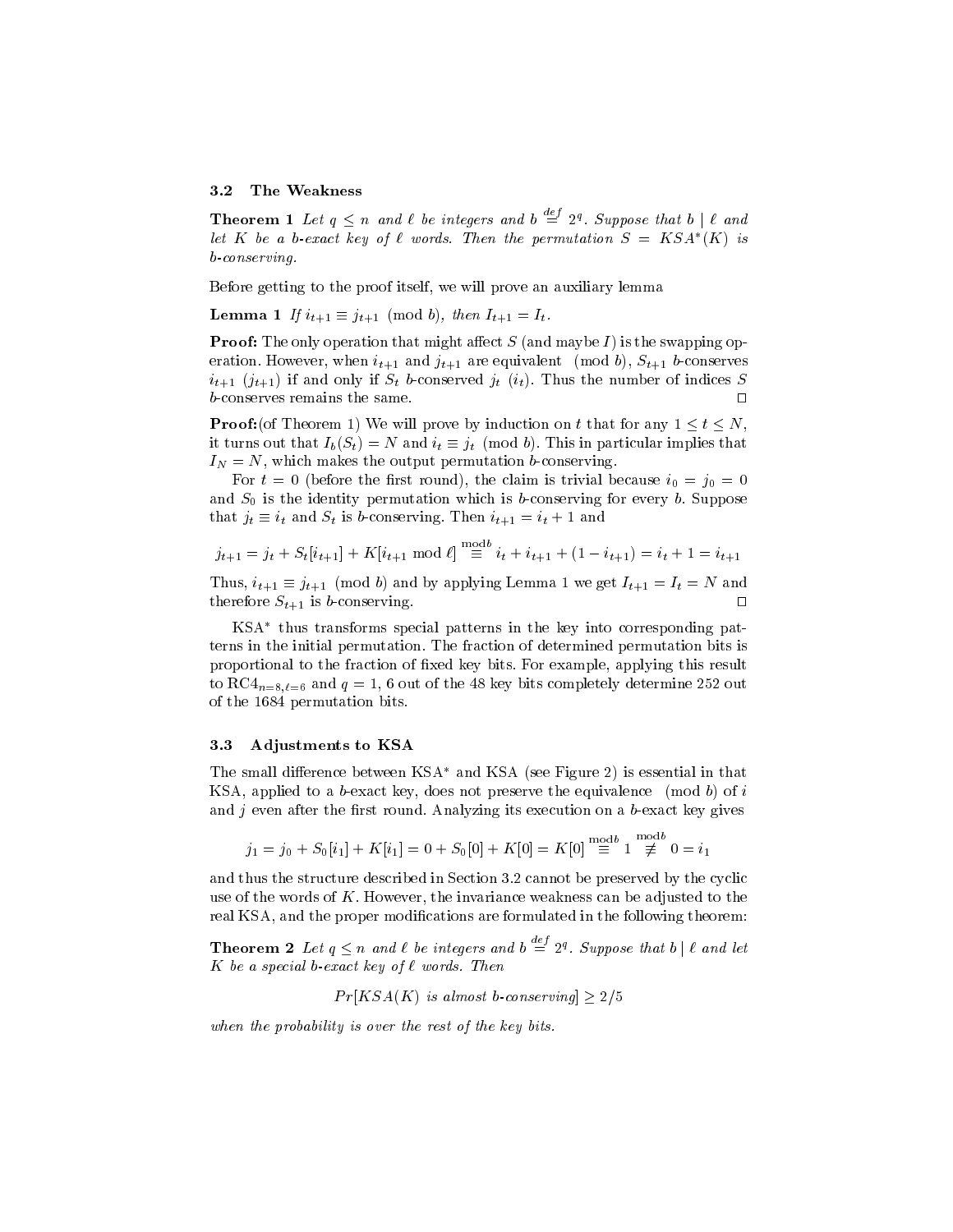#### 3.2 The Weakness

**Theorem 1** Let  $q \leq n$  and  $\ell$  be integers and b  $\stackrel{\sim}{=}$  2<sup>q</sup>. Suppose that b |  $\ell$  and let  $K$  be a b-exact key of  $\iota$  words. Then the permutation  $S = KSA$   $(K)$  is b-conserving.

Before getting to the proof itself, we will prove an auxiliary lemma

**Lemma 1** If  $i_{t+1} \equiv j_{t+1} \pmod{b}$ , then  $I_{t+1} = I_t$ .

**Proof:** The only operation that might affect  $S$  (and maybe  $I$ ) is the swapping operation. However, when  $i_{t+1}$  and  $j_{t+1}$  are equivalent (mod b),  $S_{t+1}$  b-conserves  $i_{t+1}$   $(j_{t+1})$  if and only if  $S_t$  b-conserved  $j_t$   $(i_t)$ . Thus the number of indices S b-conserves remains the same.  $\square$ 

**Proof:**(of Theorem 1) We will prove by induction on t that for any  $1 \le t \le N$ , it turns out that  $I_b(S_t) = N$  and  $i_t \equiv j_t \pmod{b}$ . This in particular implies that  $I_N = N$ , which makes the output permutation b-conserving.

For  $t = 0$  (before the first round), the claim is trivial because  $i_0 = j_0 = 0$ and  $S_0$  is the identity permutation which is b-conserving for every b. Suppose that  $j_t \equiv i_t$  and  $S_t$  is b-conserving. Then  $i_{t+1} = i_t + 1$  and

$$
j_{t+1} = j_t + S_t[i_{t+1}] + K[i_{t+1} \mod \ell] \stackrel{\text{mod } 6}{\equiv} i_t + i_{t+1} + (1 - i_{t+1}) = i_t + 1 = i_{t+1}
$$

Thus,  $i_{t+1} \equiv j_{t+1} \pmod{b}$  and by applying Lemma 1 we get  $I_{t+1} = I_t = N$  and therefore  $S_{t+1}$  is b-conserving.

KSA thus transforms special patterns in the key into corresponding patterns in the initial permutation. The fraction of determined permutation bits is proportional to the fraction of fixed key bits. For example, applying this result to RC4<sub>n=8, $\ell$ =6 and  $q = 1$ , 6 out of the 48 key bits completely determine 252 out</sub> of the 1684 permutation bits.

#### 3.3 Adjustments to KSA

The small difference between  $KSA^*$  and  $KSA$  (see Figure 2) is essential in that KSA, applied to a b-exact key, does not preserve the equivalence (mod b) of i and  $j$  even after the first round. Analyzing its execution on a b-exact key gives

$$
j_1 = j_0 + S_0[i_1] + K[i_1] = 0 + S_0[0] + K[0] = K[0] \stackrel{\text{mod } b}{\equiv} 1 \stackrel{\text{mod } b}{\not\equiv} 0 = i_1
$$

and thus the structure described in Section 3.2 cannot be preserved by the cyclic use of the words of  $K$ . However, the invariance weakness can be adjusted to the real KSA, and the proper modifications are formulated in the following theorem:

**Theorem 2** Let  $q \leq n$  and  $\ell$  be integers and b  $\stackrel{\alpha}{=} 2^q$ . Suppose that b |  $\ell$  and let K be a special b-exact key of  $\ell$  words. Then

 $Pr[KSA(K)]$  is almost b-conserving  $\geq$  2/5

when the probability is over the rest of the key bits.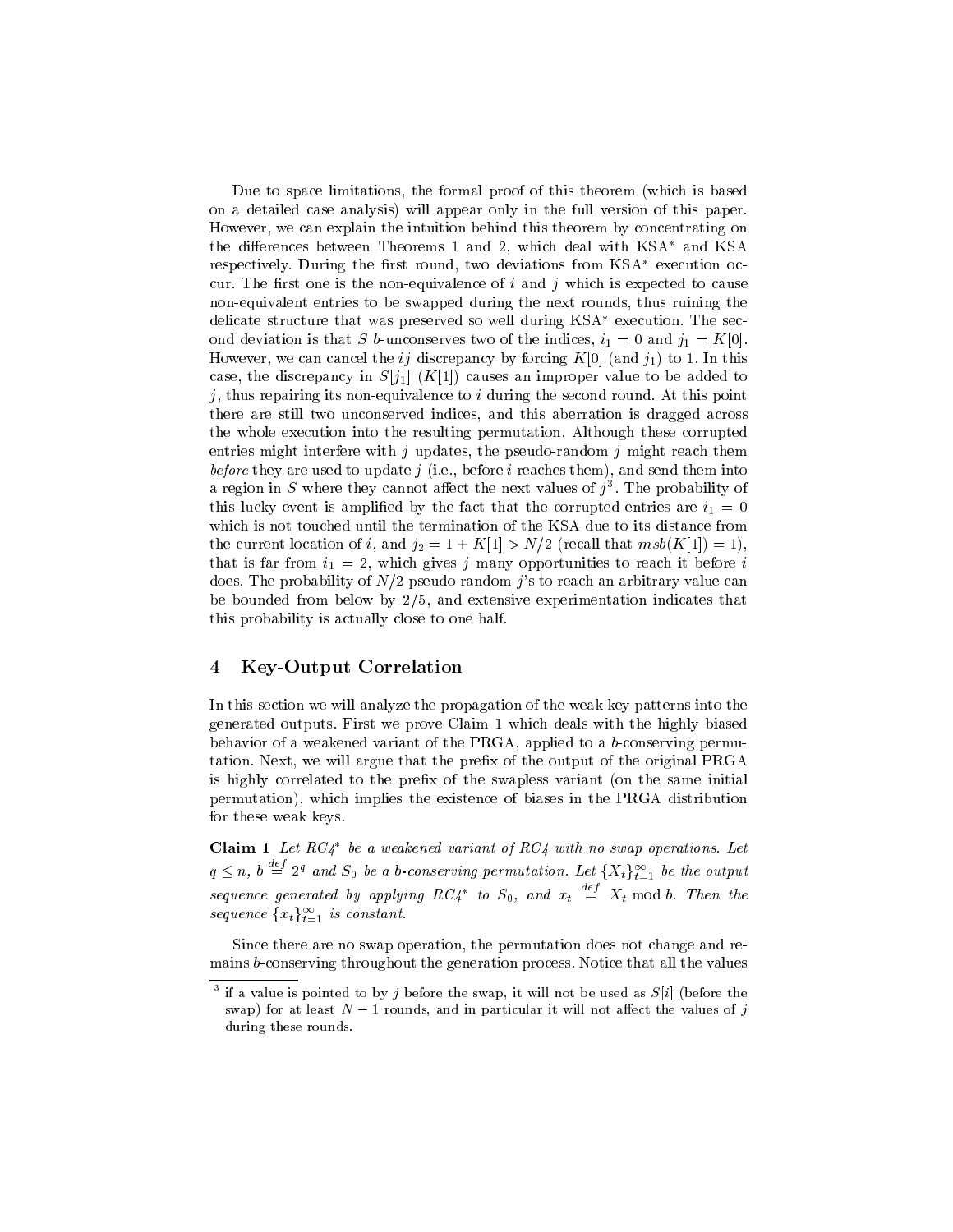Due to space limitations, the formal proof of this theorem (which is based on a detailed case analysis) will appear only in the full version of this paper. However, we can explain the intuition behind this theorem by concentrating on the differences between Theorems 1 and 2, which deal with KSA\* and KSA respectively. During the first round, two deviations from KSA\* execution occur. The first one is the non-equivalence of  $i$  and  $j$  which is expected to cause non-equivalent entries to be swapped during the next rounds, thus ruining the delicate structure that was preserved so well during KSA<sup>\*</sup> execution. The second deviation is that S b-unconserves two of the indices,  $i_1 = 0$  and  $j_1 = K[0]$ . However, we can cancel the ij discrepancy by forcing  $K[0]$  (and  $j_1$ ) to 1. In this case, the discrepancy in  $S[j_1]$   $(K[1])$  causes an improper value to be added to j, thus repairing its non-equivalence to  $i$  during the second round. At this point there are still two unconserved indices, and this aberration is dragged across the whole execution into the resulting permutation. Although these corrupted entries might interfere with j updates, the pseudo-random j might reach them before they are used to update  $j$  (i.e., before  $i$  reaches them), and send them into a region in  $\beta$  where they cannot affect the next values of  $\jmath$  . The probability of this lucky event is amplified by the fact that the corrupted entries are  $i_1 = 0$ which is not touched until the termination of the KSA due to its distance from the current location of i, and  $j_2 = 1 + K[1] > N/2$  (recall that  $msb(K[1]) = 1$ ), that is far from  $i_1 = 2$ , which gives j many opportunities to reach it before i does. The probability of  $N/2$  pseudo random j's to reach an arbitrary value can be bounded from below by 2/5, and extensive experimentation indicates that this probability is actually close to one half.

## 4 Key-Output Correlation

In this section we will analyze the propagation of the weak key patterns into the generated outputs. First we prove Claim 1 which deals with the highly biased behavior of a weakened variant of the PRGA, applied to a b-conserving permutation. Next, we will argue that the prefix of the output of the original PRGA is highly correlated to the prefix of the swapless variant (on the same initial permutation), which implies the existence of biases in the PRGA distribution for these weak keys.

**Claim 1** Let  $RC4^*$  be a weakened variant of  $RC4$  with no swap operations. Let  $q \leq n$ ,  $b \stackrel{\infty}{=} 2^q$  and  $S_0$  be a b-conserving permutation. Let  $\{X_t\}_{t=1}^{\infty}$  be the output sequence generated by applying  $RC4^*$  to  $S_0$ , and  $x_t \equiv X_t \bmod b$ . Then the sequence  $\{x_t\}_{t=1}^{\infty}$  is constant.

Since there are no swap operation, the permutation does not change and remains b-conserving throughout the generation process. Notice that all the values

if a value is pointed to by  $\gamma$  before the swap, it will not be used as  $S[i]$  (before the swap) for at least  $N-1$  rounds, and in particular it will not affect the values of j during these rounds.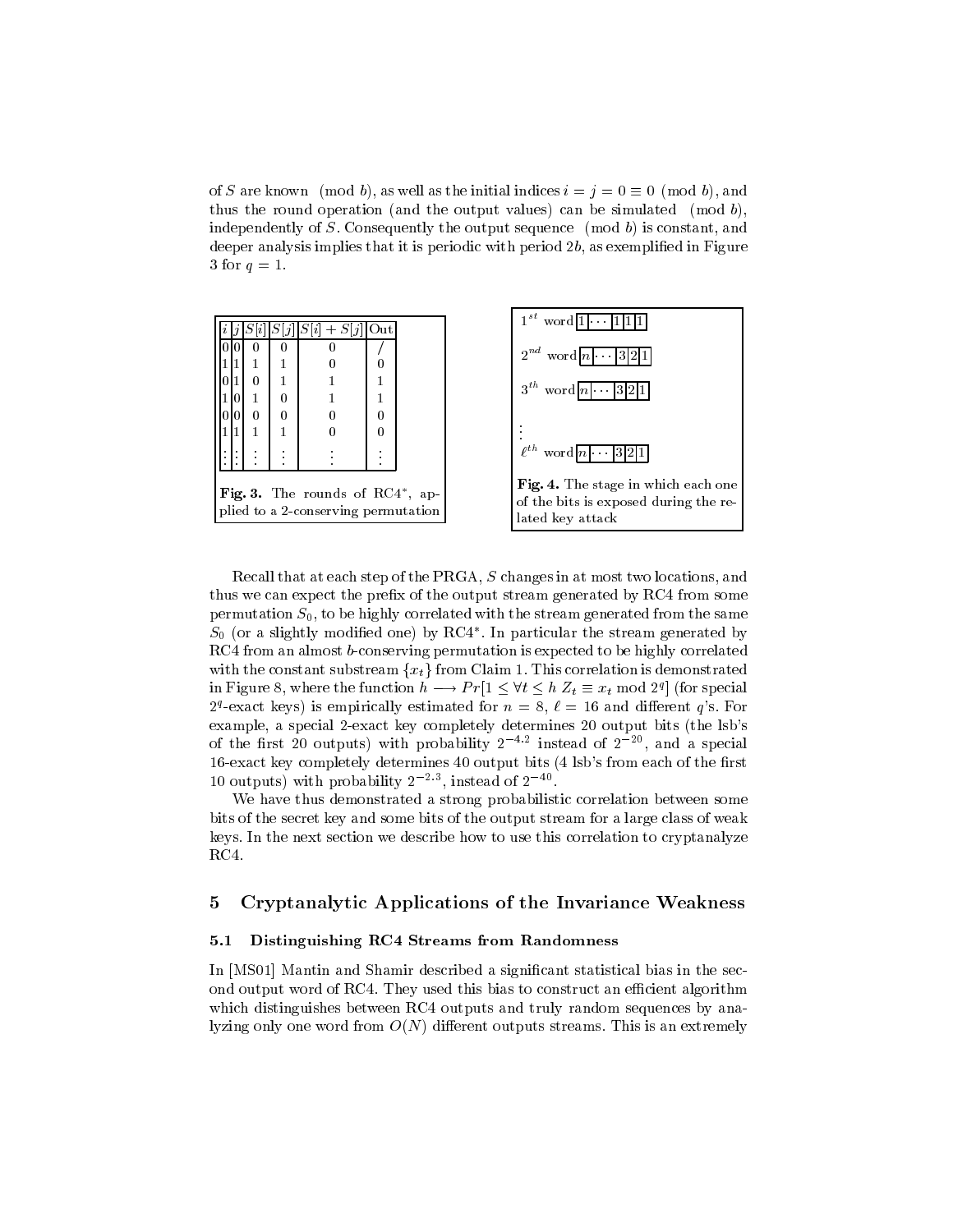of S are known (mod b), as well as the initial indices  $i = j = 0 \equiv 0 \pmod{b}$ , and thus the round operation (and the output values) can be simulated  $(mod b)$ , independently of  $S$ . Consequently the output sequence  $p$  (mod b) is constant, and deeper analysis implies that it is periodic with period 2b, as exemplified in Figure 3 for  $q=1$ .

|   |   | $ S[i] + S[j] $ | Out |  |
|---|---|-----------------|-----|--|
|   |   |                 |     |  |
|   |   |                 | 0   |  |
| 0 | 1 |                 | 1   |  |
|   | 0 |                 |     |  |
| 0 | 0 | 0               | 0   |  |
|   | 1 |                 | 0   |  |
|   |   |                 |     |  |
|   |   |                 |     |  |

plied to a 2-conserving permutation



Recall that at each step of the PRGA, S changes in at most two locations, and thus we can expect the prefix of the output stream generated by RC4 from some permutation  $S_0$ , to be highly correlated with the stream generated from the same  $\mathfrak{s}_0$  (or a sughtly modified one) by RC4 . In particular the stream generated by RC4 from an almost b-conserving permutation is expected to be highly correlated with the constant substream  $\{x_t\}$  from Claim 1. This correlation is demonstrated in Figure 8, where the function  $h \longrightarrow Pr[1 \leq \forall t \leq h \ Z_t \equiv x_t \bmod{2^q}$  (for special 2<sup>q</sup>-exact keys) is empirically estimated for  $n = 8, \ell = 16$  and different q's. For example, a special 2-exact key completely determines 20 output bits (the lsb's of the first 20 outputs) with probability 2 <sup>---</sup> instead of 2 <sup>--</sup>, and a special 16-exact key completely determines 40 output bits (4 lsb's from each of the first 10 outputs) with probability  $2<sup>-1</sup>$ , instead of  $2<sup>-1</sup>$ .

, ap-

We have thus demonstrated a strong probabilistic correlation between some bits of the secret key and some bits of the output stream for a large class of weak keys. In the next section we describe how to use this correlation to cryptanalyze RC4.

#### 5 Cryptanalytic Applications of the Invariance Weakness  $\overline{5}$

### 5.1 Distinguishing RC4 Streams from Randomness

In [MS01] Mantin and Shamir described a significant statistical bias in the second output word of RC4. They used this bias to construct an efficient algorithm which distinguishes between RC4 outputs and truly random sequences by analyzing only one word from  $O(N)$  different outputs streams. This is an extremely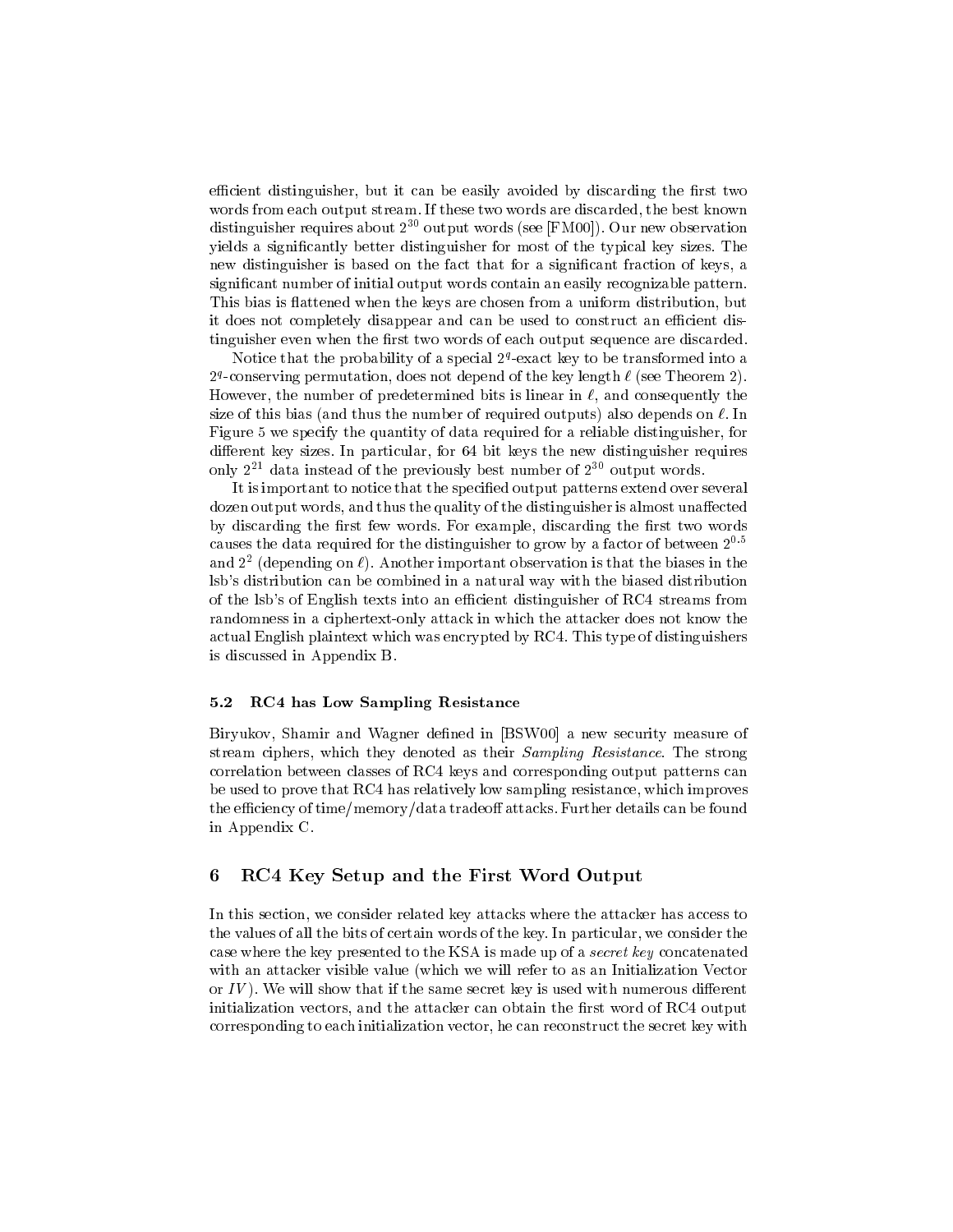efficient distinguisher, but it can be easily avoided by discarding the first two words from each output stream. If these two words are discarded, the best known distinguisher requires about  $2^{30}$  output words (see [FM00]). Our new observation yields a signicantly better distinguisher for most of the typical key sizes. The new distinguisher is based on the fact that for a signicant fraction of keys, a signicant number of initial output words contain an easily recognizable pattern. This bias is flattened when the keys are chosen from a uniform distribution, but it does not completely disappear and can be used to construct an efficient distinguisher even when the first two words of each output sequence are discarded.

Notice that the probability of a special  $Z^{\alpha}$ -exact key to be transformed into a 2ª-conserving permutation, does not depend of the key length  $\ell$  (see Theorem 2). However, the number of predetermined bits is linear in  $\ell$ , and consequently the size of this bias (and thus the number of required outputs) also depends on  $\ell$ . In Figure 5 we specify the quantity of data required for a reliable distinguisher, for different key sizes. In particular, for 64 bit keys the new distinguisher requires only  $2^{21}$  data instead of the previously best number of  $2^{30}$  output words.

It is important to notice that the specified output patterns extend over several dozen output words, and thus the quality of the distinguisher is almost unaffected by discarding the first few words. For example, discarding the first two words causes the data required for the distinguisher to grow by a factor of between  $2^{0.5}$ and  $2^-$  (depending on  $\ell$ ). Another important observation is that the biases in the lsb's distribution can be combined in a natural way with the biased distribution of the lsb's of English texts into an efficient distinguisher of RC4 streams from randomness in a ciphertext-only attack in which the attacker does not know the actual English plaintext which was encrypted by RC4. This type of distinguishers is discussed in Appendix B.

### 5.2 RC4 has Low Sampling Resistance

Biryukov, Shamir and Wagner defined in [BSW00] a new security measure of stream ciphers, which they denoted as their Sampling Resistance. The strong correlation between classes of RC4 keys and corresponding output patterns can be used to prove that RC4 has relatively low sampling resistance, which improves the efficiency of time/memory/data tradeoff attacks. Further details can be found in Appendix C.

#### 6 6 RC4 Key Setup and the First Word Output

In this section, we consider related key attacks where the attacker has access to the values of all the bits of certain words of the key. In particular, we consider the case where the key presented to the KSA is made up of a secret key concatenated with an attacker visible value (which we will refer to as an Initialization Vector or  $IV$ ). We will show that if the same secret key is used with numerous different initialization vectors, and the attacker can obtain the first word of RC4 output corresponding to each initialization vector, he can reconstruct the secret key with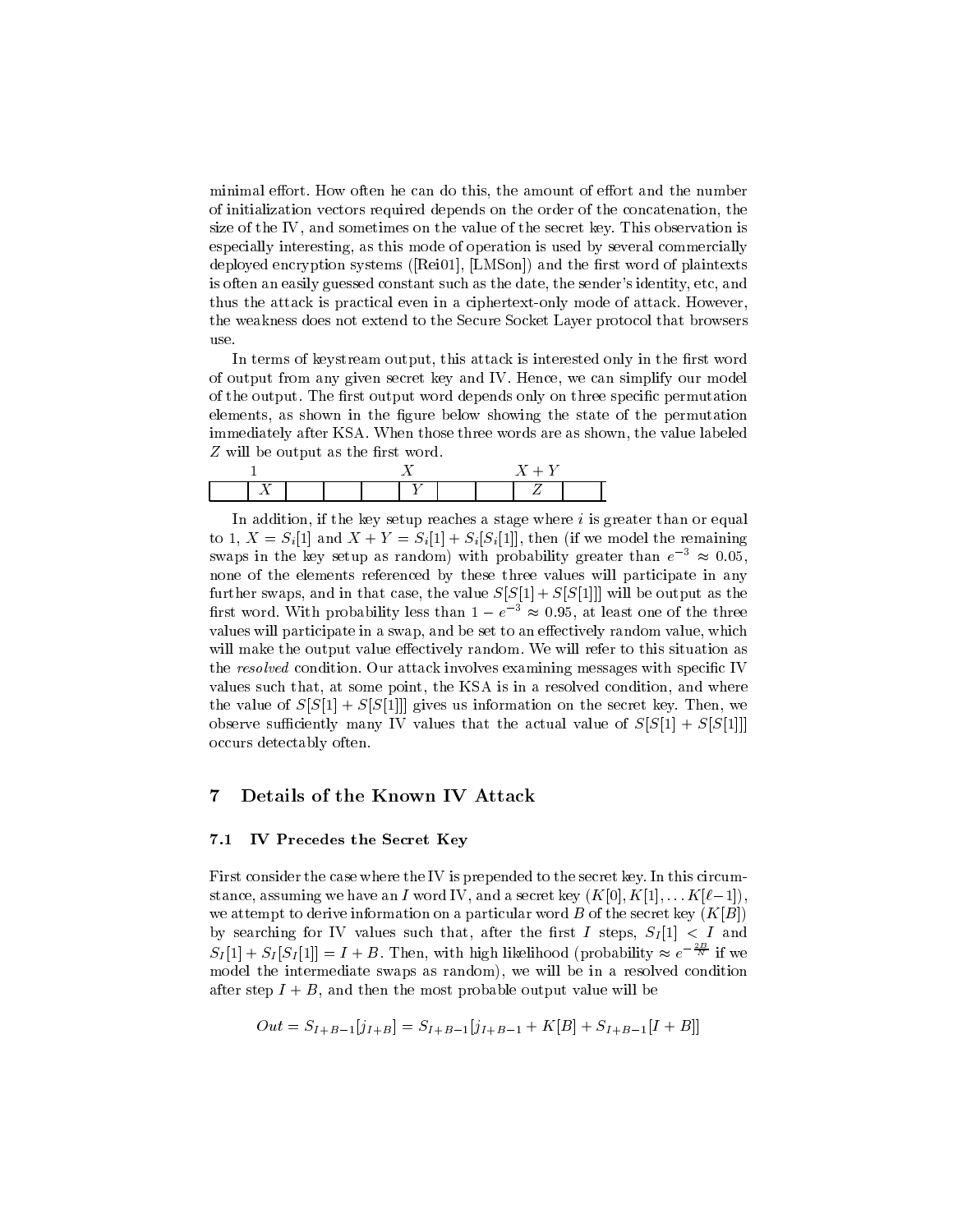minimal effort. How often he can do this, the amount of effort and the number of initialization vectors required depends on the order of the concatenation, the size of the IV, and sometimes on the value of the secret key. This observation is especially interesting, as this mode of operation is used by several commercially deployed encryption systems ([Rei01], [LMSon]) and the first word of plaintexts is often an easily guessed constant such as the date, the sender's identity, etc, and thus the attack is practical even in a ciphertext-only mode of attack. However, the weakness does not extend to the Secure Socket Layer protocol that browsers use.

In terms of keystream output, this attack is interested only in the first word of output from any given secret key and IV. Hence, we can simplify our model of the output. The first output word depends only on three specific permutation elements, as shown in the figure below showing the state of the permutation immediately after KSA. When those three words are as shown, the value labeled  $Z$  will be output as the first word.

In addition, if the key setup reaches a stage where  $i$  is greater than or equal to 1,  $X = S_i[1]$  and  $X + Y = S_i[1] + S_i[S_i[1]]$ , then (if we model the remaining swaps in the key setup as random) with probability greater than  $e^{-3} \approx 0.05$ , none of the elements referenced by these three values will participate in any further swaps, and in that case, the value  $S[S[1] + S[S[1]]]$  will be output as the first word. With probability less than  $1 - e^{-3} \approx 0.95$ , at least one of the three values will participate in a swap, and be set to an effectively random value, which will make the output value effectively random. We will refer to this situation as the resolved condition. Our attack involves examining messages with specific IV values such that, at some point, the KSA is in a resolved condition, and where the value of  $S[S[1] + S[S[1]]$  gives us information on the secret key. Then, we observe sufficiently many IV values that the actual value of  $S[S(1] + S[S(1]]]$ occurs detectably often.

## 7 Details of the Known IV Attack

#### 7.1 IV Precedes the Secret Key

First consider the case where the IV is prepended to the secret key. In this circumstance, assuming we have an I word IV, and a secret key  $(K[0], K[1], \ldots K[\ell-1]),$ we attempt to derive information on a particular word  $B$  of the secret key  $(K|B|)$ by searching for IV values such that, after the first I steps,  $S_I[1] < I$  and  $S_I[1] + S_I[S_I[1]] = I + B$ . Then, with high likelihood (probability  $\approx e^{-\frac{2B}{N}}$  if we model the intermediate swaps as random), we will be in a resolved condition after step  $I + B$ , and then the most probable output value will be

$$
Out = S_{I+B-1}[j_{I+B}] = S_{I+B-1}[j_{I+B-1} + K[B] + S_{I+B-1}[I+B]]
$$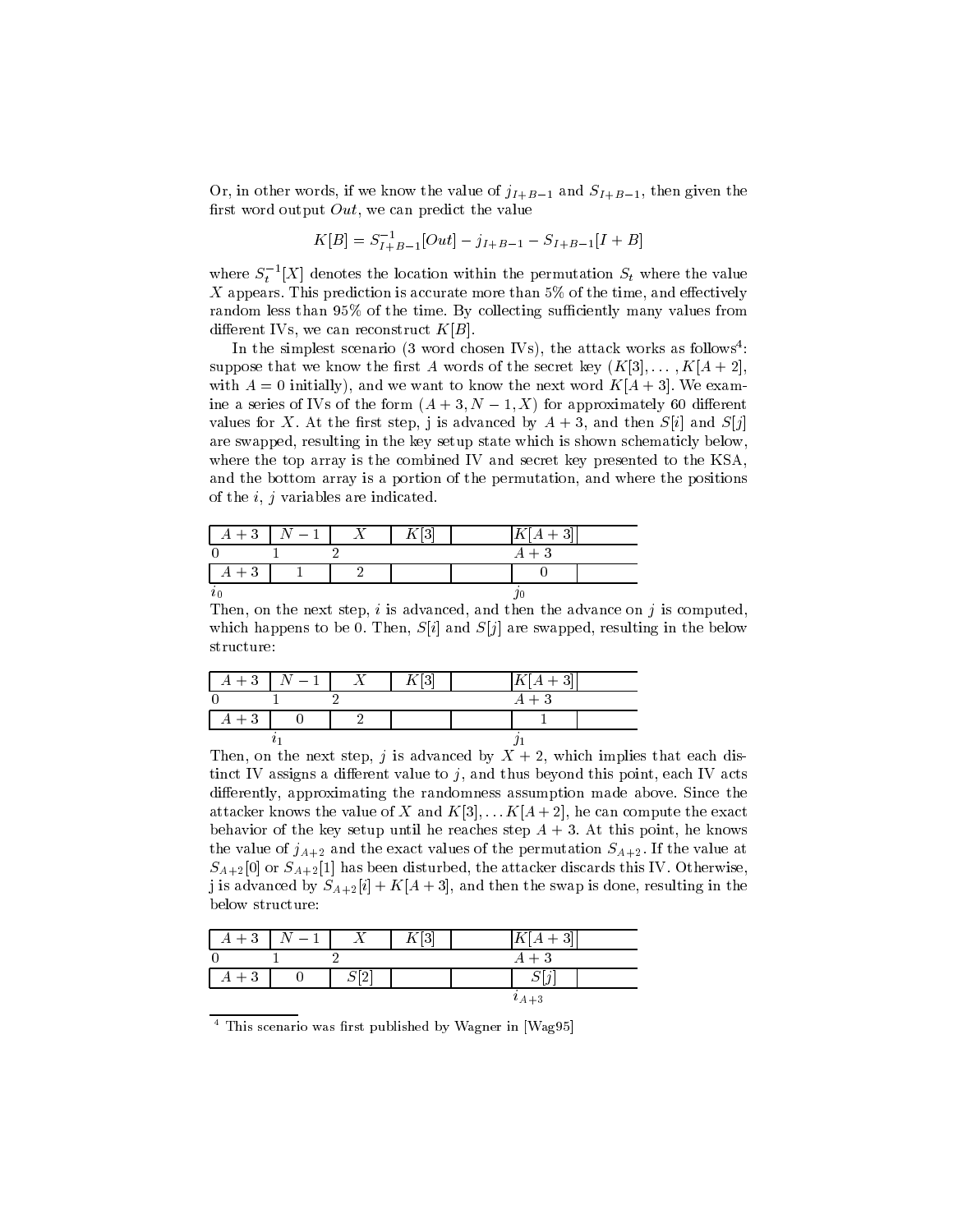Or, in other words, if we know the value of  $j_{I+B-1}$  and  $S_{I+B-1}$ , then given the first word output  $Out$ , we can predict the value

$$
K[B] = S_{I+B-1}^{-1}[Out] - j_{I+B-1} - S_{I+B-1}[I + B]
$$

where  $S_t$  [X] denotes the location within the permutation  $S_t$  where the value  $\mathcal{L}$  appears. This prediction is accurate more than  $\mathcal{L}$  , and the time, and extraction, and extraction random less than 95% of the time. By collecting sufficiently many values from different IVs, we can reconstruct  $K[B]$ .

In the simplest scenario (3 word chosen IVs), the attack works as follows<sup>4</sup> : suppose that we know the first A words of the secret key  $(K[3],..., K[A + 2],$ with  $A = 0$  initially), and we want to know the next word  $K[A + 3]$ . We examine a series of IVs of the form  $(A + 3, N - 1, X)$  for approximately 60 different values for X. At the first step, j is advanced by  $A + 3$ , and then  $S[i]$  and  $S[j]$ are swapped, resulting in the key setup state which is shown schematicly below, where the top array is the combined IV and secret key presented to the KSA, and the bottom array is a portion of the permutation, and where the positions of the  $i, j$  variables are indicated.

|       | $A+3$ $N-1$ |  | $K[A+3]$ |  |
|-------|-------------|--|----------|--|
|       |             |  | $A+3$    |  |
| $A+3$ |             |  |          |  |
| $v_0$ |             |  |          |  |

Then, on the next step, i is advanced, and then the advance on j is computed. which happens to be 0. Then,  $S[i]$  and  $S[j]$  are swapped, resulting in the below structure:

| $A+3$ | $\mid N-1 \mid$ | ″[3] | $K[A+3]$ |  |
|-------|-----------------|------|----------|--|
|       |                 |      | $A+3$    |  |
| $A+3$ |                 |      |          |  |
|       |                 |      |          |  |

Then, on the next step, is advanced by  $\mathcal{X} = \mathcal{X} \cup \mathcal{X}$  and discussed by  $\mathcal{X} = \mathcal{X} \cup \mathcal{X}$ tinct IV assigns a different value to  $j$ , and thus beyond this point, each IV acts differently, approximating the randomness assumption made above. Since the attacker knows the value of X and  $K[3],\ldots K[A + 2]$ , he can compute the exact behavior of the key setup until he reaches step  $A + 3$ . At this point, he knows the value of  $j_{A+2}$  and the exact values of the permutation  $S_{A+2}$ . If the value at  $S_{A+2}[0]$  or  $S_{A+2}[1]$  has been disturbed, the attacker discards this IV. Otherwise, j is advanced by  $S_{A+2}[i]+K[A+3]$ , and then the swap is done, resulting in the below structure:

| $A+3$ | $\,N-1$ |                       | ופו<br>◡ |                    |
|-------|---------|-----------------------|----------|--------------------|
|       |         |                       |          | $A+3$              |
| $A+3$ |         | $\mathcal{S}[\Omega]$ |          | $\mathcal{L}$<br>ν |
|       |         |                       |          | $i_{A+3}$          |

This scenario was first published by Wagner in [Wag95]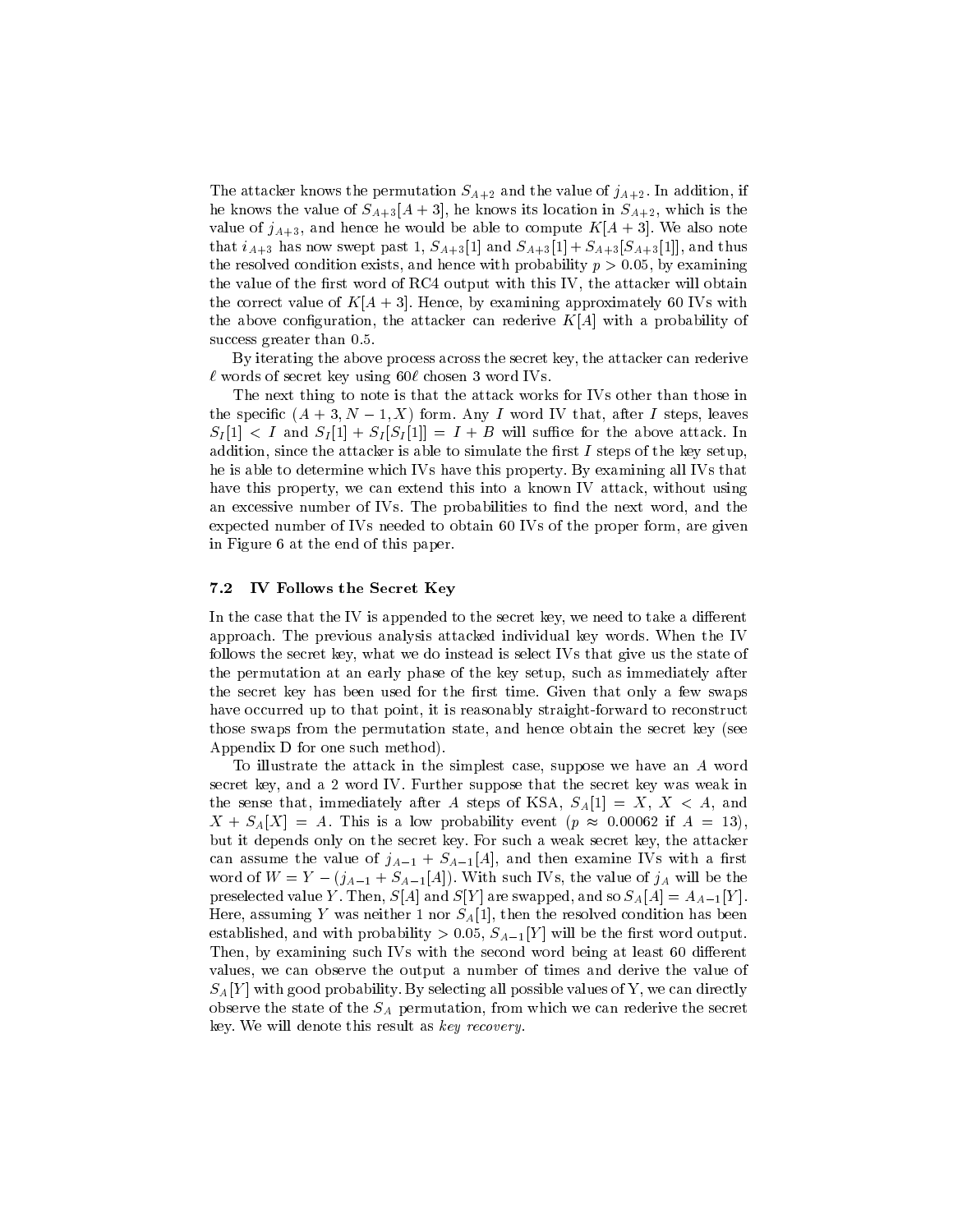The attacker knows the permutation  $S_{A+2}$  and the value of  $j_{A+2}$ . In addition, if he knows the value of  $S_{A+3}[A+3]$ , he knows its location in  $S_{A+2}$ , which is the value of  $j_{A+3}$ , and hence he would be able to compute  $K[A+3]$ . We also note that  $i_{A+3}$  has now swept past 1,  $S_{A+3}[1]$  and  $S_{A+3}[1] + S_{A+3}[S_{A+3}[1]]$ , and thus the resolved condition exists, and hence with probability  $p > 0.05$ , by examining the value of the first word of RC4 output with this IV, the attacker will obtain the correct value of  $K[A + 3]$ . Hence, by examining approximately 60 IVs with the above configuration, the attacker can rederive  $K[A]$  with a probability of success greater than 0.5.

By iterating the above process across the secret key, the attacker can rederive  $\ell$  words of secret key using 60 $\ell$  chosen 3 word IVs.

The next thing to note is that the attack works for IVs other than those in the specific  $(A + 3, N - 1, X)$  form. Any I word IV that, after I steps, leaves  $S_I[1] < I$  and  $S_I[1] + S_I[S_I[1]] = I + B$  will suffice for the above attack. In addition, since the attacker is able to simulate the first  $I$  steps of the key setup. he is able to determine which IVs have this property. By examining all IVs that have this property, we can extend this into a known IV attack, without using an excessive number of IVs. The probabilities to find the next word, and the expected number of IVs needed to obtain 60 IVs of the proper form, are given in Figure 6 at the end of this paper.

#### 7.2 IV Follows the Secret Key

In the case that the IV is appended to the secret key, we need to take a different approach. The previous analysis attacked individual key words. When the IV follows the secret key, what we do instead is select IVs that give us the state of the permutation at an early phase of the key setup, such as immediately after the secret key has been used for the first time. Given that only a few swaps have occurred up to that point, it is reasonably straight-forward to reconstruct those swaps from the permutation state, and hence obtain the secret key (see Appendix D for one such method).

To illustrate the attack in the simplest case, suppose we have an A word secret key, and a 2 word IV. Further suppose that the secret key was weak in the sense that, immediately after A steps of KSA,  $S_A[1] = X, X < A$ , and  $X + S<sub>A</sub>[X] = A$ . This is a low probability event  $(p \approx 0.00062$  if  $A = 13)$ , but it depends only on the secret key. For suchaweak secret key, the attacker can assume the value of  $j_{A-1}$  +  $S_{A-1}[A]$ , and then examine IVs with a first word of  $W = Y - (j_{A-1} + S_{A-1}[A])$ . With such IVs, the value of  $j_A$  will be the preselected value Y. Then,  $S[A]$  and  $S[Y]$  are swapped, and so  $S_A[A] = A_{A-1}[Y]$ . Here, assuming Y was neither 1 nor  $S_A[1]$ , then the resolved condition has been established, and with probability  $> 0.05$ ,  $S_{A-1}[Y]$  will be the first word output. Then, by examining such IVs with the second word being at least 60 different values, we can observe the output a number of times and derive the value of  $S_A[Y]$  with good probability. By selecting all possible values of Y, we can directly observe the state of the  $S_A$  permutation, from which we can rederive the secret key. We will denote this result as key recovery.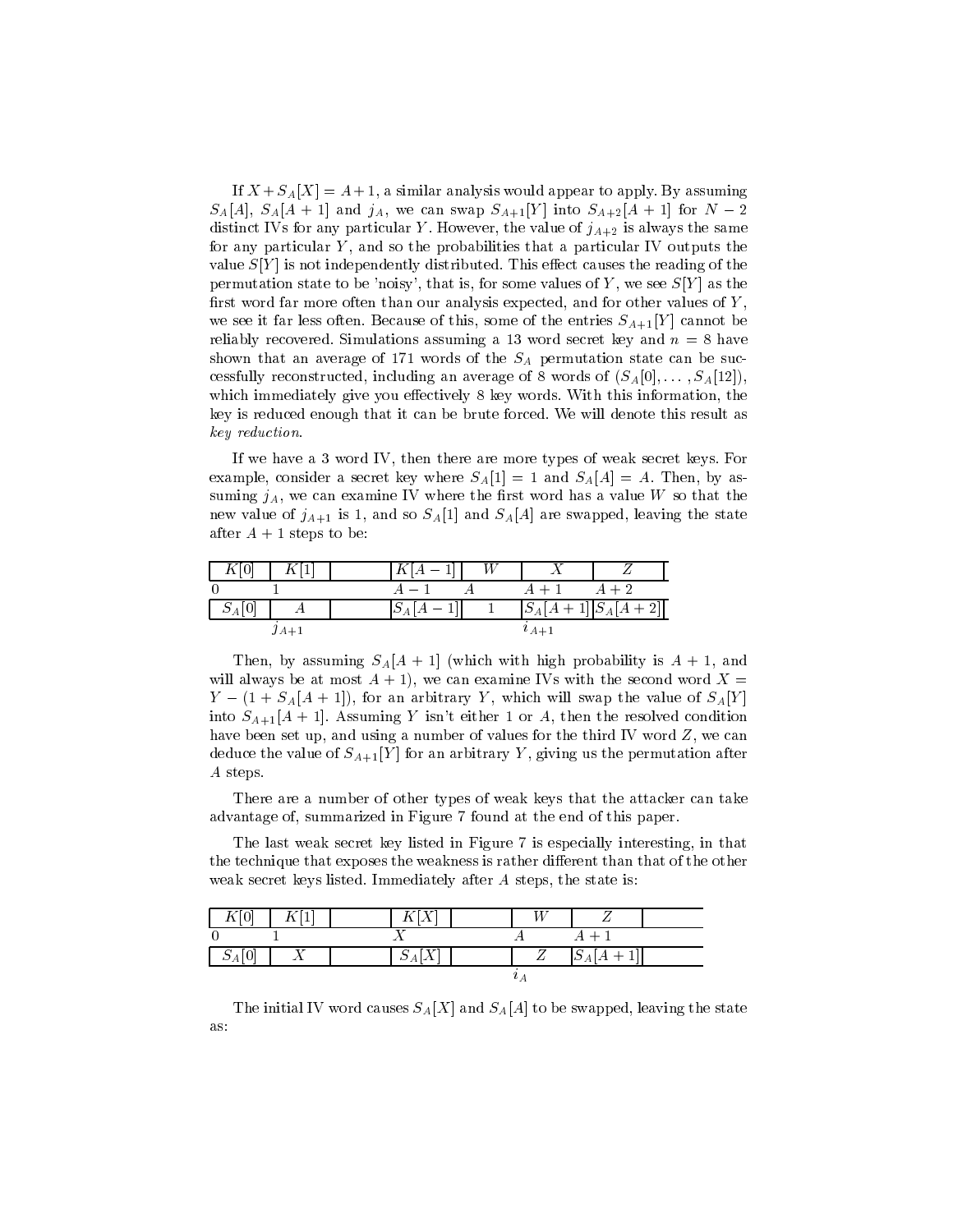If  $X + S_A[X] = A + 1$ , a similar analysis would appear to apply. By assuming  $S_A[A], S_A[A + 1]$  and  $j_A$ , we can swap  $S_{A+1}[Y]$  into  $S_{A+2}[A + 1]$  for  $N - 2$ distinct IVs for any particular Y. However, the value of  $j_{A+2}$  is always the same for any particular  $Y$ , and so the probabilities that a particular IV outputs the value  $S[Y]$  is not independently distributed. This effect causes the reading of the permutation state to be 'noisy', that is, for some values of Y, we see  $S[Y]$  as the first word far more often than our analysis expected, and for other values of  $Y$ , we see it far less often. Because of this, some of the entries  $S_{A+1}[Y]$  cannot be reliably recovered. Simulations assuming a 13 word secret key and  $n = 8$  have shown that an average of 171 words of the  $S_A$  permutation state can be successfully reconstructed, including an average of 8 words of  $(S_A[0],...,S_A[12])$ , which immediately give you effectively 8 key words. With this information, the key is reduced enough that it can be brute forced. We will denote this result as key reduction.

If we havea3word IV, then there are more types of weak secret keys. For example, consider a secret key where  $S_A[1] = 1$  and  $S_A[A] = A$ . Then, by assuming  $j_A$ , we can examine IV where the first word has a value W so that the new value of  $j_{A+1}$  is 1, and so  $S_A[1]$  and  $S_A[A]$  are swapped, leaving the state after  $A + 1$  steps to be:

|                                 |        |          | W |               |                  |
|---------------------------------|--------|----------|---|---------------|------------------|
|                                 |        |          |   |               | $A+2$            |
| $\mathcal{Q}_A$   $\mathcal{Q}$ |        | $\sim_A$ |   | $ S_A A$      | $+1  S_A[A+2]  $ |
|                                 | $JA+1$ |          |   | $^{\iota}A+1$ |                  |

Then, by assuming  $S_A[A + 1]$  (which with high probability is  $A + 1$ , and will always be at most  $A + 1$ , we can examine IVs with the second word  $X =$  $Y - (1 + S_A[A + 1])$ , for an arbitrary Y, which will swap the value of  $S_A[Y]$ into  $S_{A+1}[A+1]$ . Assuming Y isn't either 1 or A, then the resolved condition have been set up, and using a number of values for the third IV word Z, we can deduce the value of  $S_{A+1}[Y]$  for an arbitrary Y, giving us the permutation after A steps.

There are a number of other types of weak keys that the attacker can take advantage of, summarized in Figure 7 found at the end of this paper.

The last weak secret key listed in Figure 7 is especially interesting, in that the technique that exposes the weakness is rather different than that of the other weak secret keys listed. Immediately after A steps, the state is:

|  |                                    | W |           |  |
|--|------------------------------------|---|-----------|--|
|  |                                    |   | $A+1$     |  |
|  | $\sim$ $\sim$<br>$\mathcal{\nu}_A$ |   | $ D_{A }$ |  |
|  |                                    |   |           |  |

The initial IV word causes  $S_A[X]$  and  $S_A[A]$  to be swapped, leaving the state as: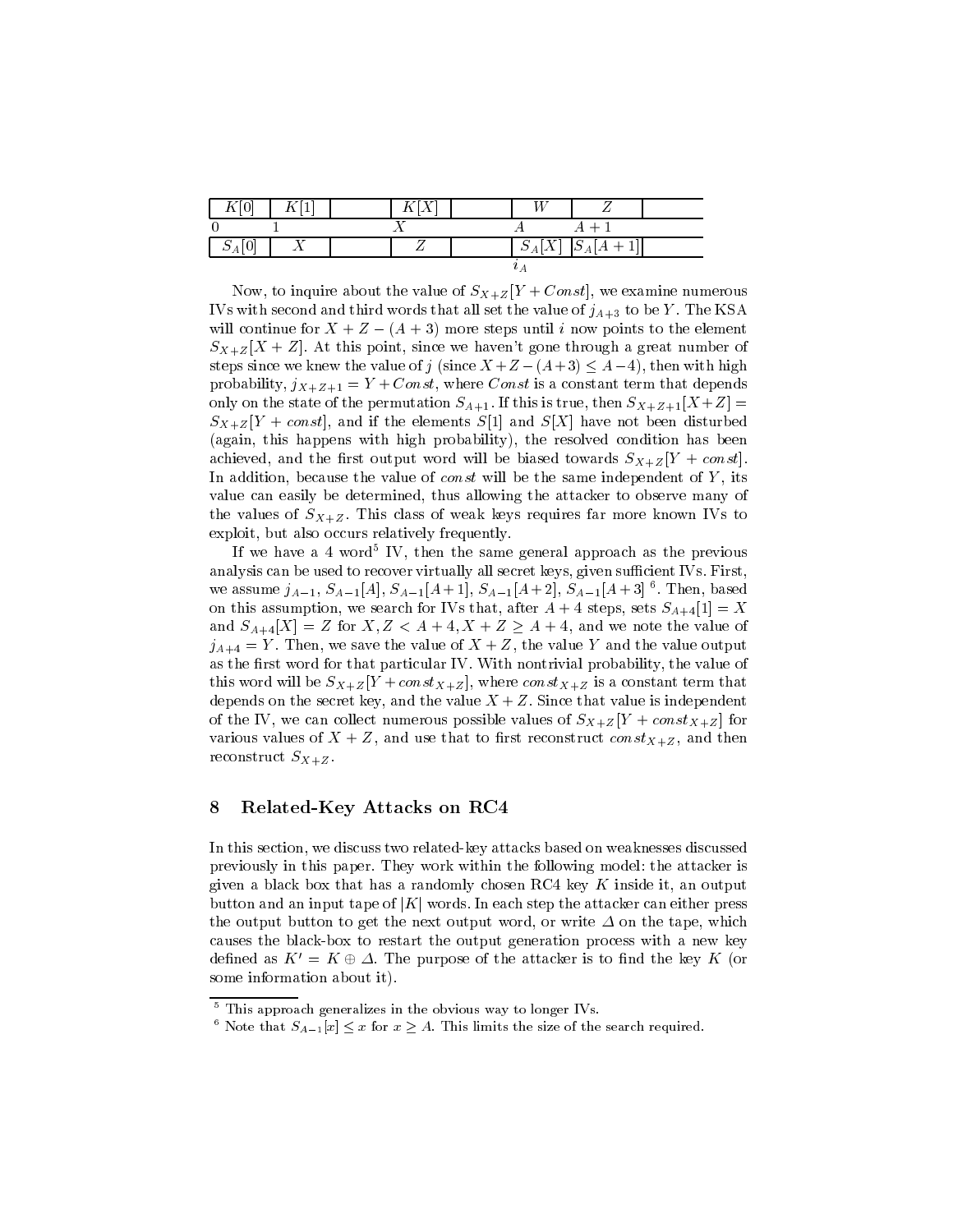|    | <b>T</b> |  |  |                     |  |
|----|----------|--|--|---------------------|--|
|    |          |  |  | $A+1$               |  |
| ΩZ |          |  |  | $S_A[X]$ $S_A[A+1]$ |  |
|    |          |  |  |                     |  |

Now, to inquire about the value of  $S_{X+Z}[Y + Const]$ , we examine numerous IVs with second and third words that all set the value of  $j_{A+3}$  to be Y. The KSA will continue for  $X + Z - (A + 3)$  more steps until i now points to the element  $S_{X+Z}[X+Z]$ . At this point, since we haven't gone through a great number of steps since we knew the value of j (since  $X + Z - (A + 3) \leq A - 4$ ), then with high probability,  $j_{X+Z+1} = Y + Const$ , where Const is a constant term that depends only on the state of the permutation  $S_{A+1}$ . If this is true, then  $S_{X+Z+1}[X+Z] =$  $S_{X+Z}[Y + const]$ , and if the elements  $S[1]$  and  $S[X]$  have not been disturbed (again, this happens with high probability), the resolved condition has been achieved, and the first output word will be biased towards  $S_{X+Z}$   $[Y + const]$ . In addition, because the value of  $const$  will be the same independent of  $Y$ , its value can easily be determined, thus allowing the attacker to observe many of the values of  $S_{X+Z}$ . This class of weak keys requires far more known IVs to exploit, but also occurs relatively frequently.

If we have a 4 word Try, then the same general approach as the previous analysis can be used to recover virtually all secret keys, given sufficient IVs. First, we assume  $j_{A-1}$ ,  $S_{A-1}[A]$ ,  $S_{A-1}[A+1]$ ,  $S_{A-1}[A+2]$ ,  $S_{A-1}[A+3]$  for  $I$  . Then, based on this assumption, we search for IVs that, after  $A + 4$  steps, sets  $S_{A+4}[1] = X$ and  $S_{A+4}[X] = Z$  for  $X, Z < A+4, X+Z \geq A+4$ , and we note the value of  $j_{A+4} = Y$ . Then, we save the value of  $X + Z$ , the value Y and the value output as the first word for that particular IV. With nontrivial probability, the value of this word will be  $S_{X+Z}[Y+const_{X+Z}]$ , where  $const_{X+Z}$  is a constant term that depends on the secret key, and the value  $X + Z$ . Since that value is independent of the IV, we can collect numerous possible values of  $S_{X+Z}$  [Y + const<sub>X+Z</sub>] for various values of  $X + Z$ , and use that to first reconstruct  $const_{X+Z}$ , and then reconstruct  $S_{X+Z}$ .

#### 8 Related-Key Attacks on RC4 8

In this section, we discuss two related-key attacks based on weaknesses discussed previously in this paper. They work within the following model: the attacker is given a black box that has a randomly chosen RC4 key  $K$  inside it, an output button and an input tape of  $|K|$  words. In each step the attacker can either press the output button to get the next output word, or write  $\Delta$  on the tape, which causes the black-box to restart the output generation process with a new key defined as  $K' = K \oplus \Delta$ . The purpose of the attacker is to find the key K (or some information about it).

<sup>5</sup> This approach generalizes in the obvious way to longer IVs.

<sup>&</sup>lt;sup>6</sup> Note that  $S_{A-1}|x| \leq x$  for  $x \geq A$ . This limits the size of the search required.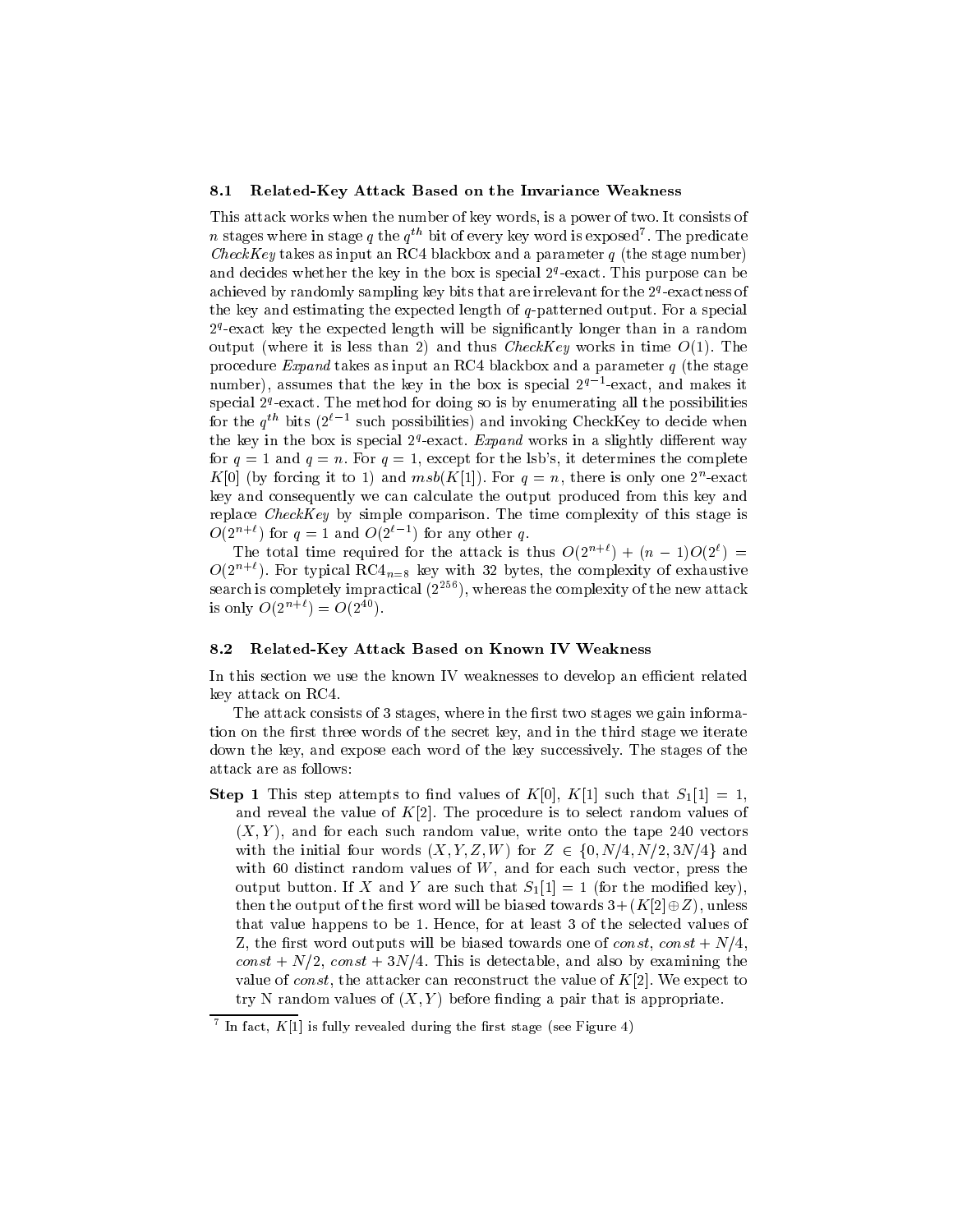#### 8.1 Related-Key Attack Based on the Invariance Weakness

This attack works when the number of key words, is a power of two. It consists of  $n$  stages where in stage  $q$  the  $q\cdots$  bit of every key word is exposed  $\ldots$  The predicate CheckKey takes as input an RC4 blackbox and a parameter  $q$  (the stage number) and decides whether the key in the box is special  $z$  -exact. This purpose can be  $\pm$ achieved by randomly sampling key bits that are irrelevant for the 2ª-exactness of the key and estimating the expected length of q-patterned output. For a special  $z$  -exact key the expected length will be significantly longer than in a random  $\,$ output (where it is less than 2) and thus CheckKey works in time  $O(1)$ . The procedure Expand takes as input an RC4 blackbox and a parameter  $q$  (the stage number), assumes that the key in the box is special 2q1 -exact, and makes it  $s$ pecial  $2^{\alpha-}$ exact. The method for doing so is by enumerating all the possibilities for the  $q^{\rm \scriptscriptstyle TT}$  bits (2 $^{\rm \scriptscriptstyle T}$  - such possibilities) and invoking CheckNey to decide when the key in the box is special  $Z^*$ -exact. *Expand* works in a slightly different way for  $q = 1$  and  $q = n$ . For  $q = 1$ , except for the lsb's, it determines the complete  $K[0]$  (by forcing it to 1) and  $msv(K[1])$ . For  $q = n$ , there is only one 2-exact key and consequently we can calculate the output produced from this key and replace CheckKey by simple comparison. The time complexity of this stage is  $O(2^{n+1})$  for  $q=1$  and  $O(2^{n+1})$  for any other q.

The total time required for the attack is thus  $O(2^{n+\ell})+(n-1)O(2^{\ell}) =$  $O(2^{n+\ell})$ . For typical RC4<sub>n=8</sub> key with 32 bytes, the complexity of exhaustive search is completely impractical  $(2^{256})$ , whereas the complexity of the new attack is only  $O(2^{n+\ell}) = O(2^{40}).$ 

#### 8.2 Related-Key Attack Based on Known IV Weakness

In this section we use the known IV weaknesses to develop an efficient related key attack on RC4.

The attack consists of 3 stages, where in the first two stages we gain information on the first three words of the secret key, and in the third stage we iterate down the key, and expose each word of the key successively. The stages of the attack are as follows:

**Step 1** This step attempts to find values of  $K[0], K[1]$  such that  $S_1[1] = 1$ , and reveal the value of  $K[2]$ . The procedure is to select random values of  $(X, Y)$ , and for each such random value, write onto the tape 240 vectors with the initial four words  $(X, Y, Z, W)$  for  $Z \in \{0, N/4, N/2, 3N/4\}$  and with 60 distinct random values of  $W$ , and for each such vector, press the output button. If X and Y are such that  $S_1[1] = 1$  (for the modified key), then the output of the first word will be biased towards  $3 + (K[2] \oplus Z)$ , unless that value happens to be 1. Hence, for at least 3 of the selected values of Z, the first word outputs will be biased towards one of const, const +  $N/4$ ,  $const + N/2$ ,  $const + 3N/4$ . This is detectable, and also by examining the value of *const*, the attacker can reconstruct the value of  $K[2]$ . We expect to try N random values of  $(X, Y)$  before finding a pair that is appropriate.

The fact,  $K[1]$  is fully revealed during the first stage (see Figure 4)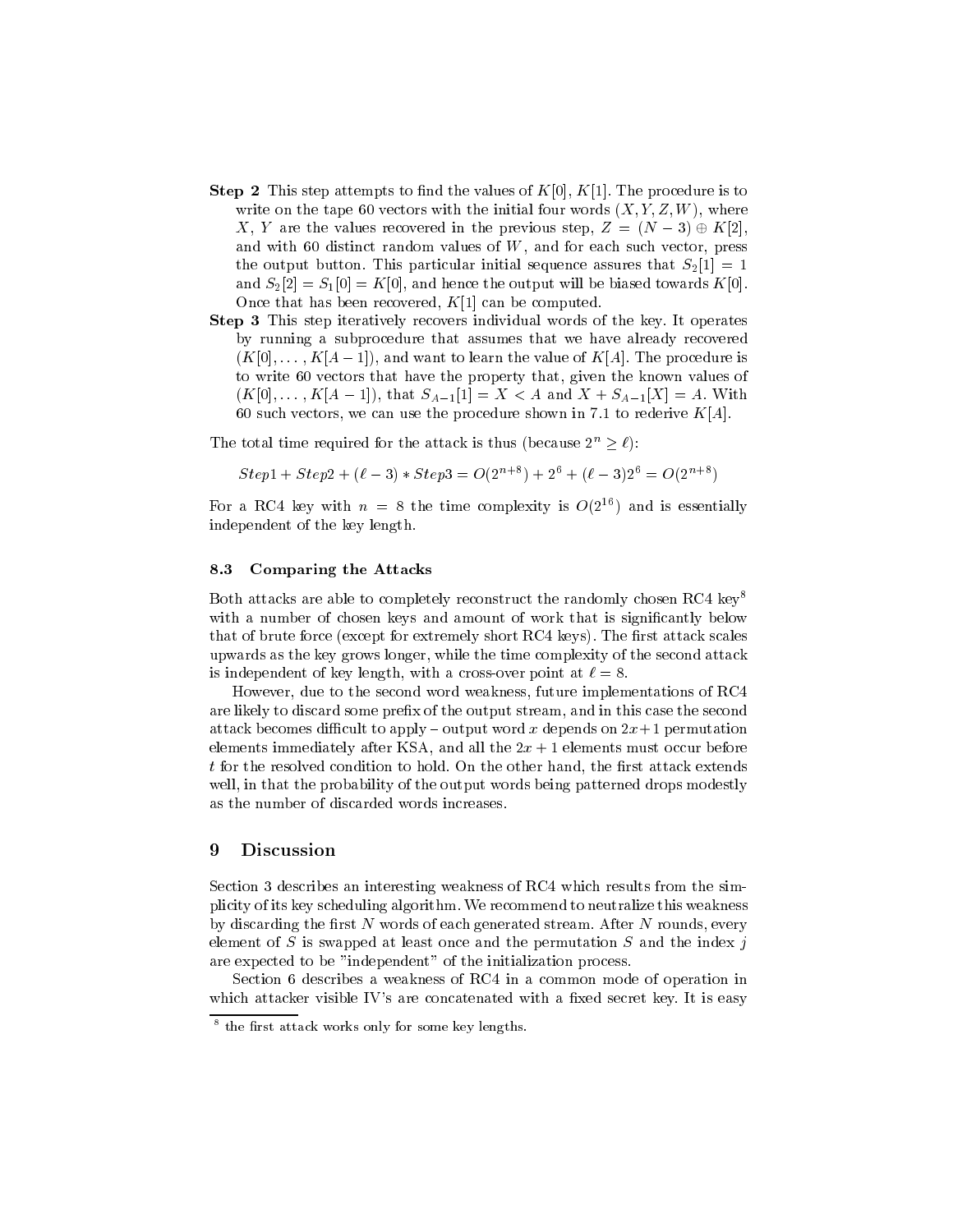- **Step 2** This step attempts to find the values of  $K[0], K[1]$ . The procedure is to write on the tape 60 vectors with the initial four words  $(X, Y, Z, W)$ , where X, Y are the values recovered in the previous step,  $Z = (N - 3) \oplus K[2]$ . and with 60 distinct random values of W, and for each such vector, press the output button. This particular initial sequence assures that  $S_2[1] = 1$ and  $S_2[2] = S_1[0] = K[0]$ , and hence the output will be biased towards  $K[0]$ . Once that has been recovered,  $K[1]$  can be computed.
- Step 3 This step iteratively recovers individual words of the key. It operates by running a subprocedure that assumes that we have already recovered  $(K[0],\ldots,K[A-1])$ , and want to learn the value of  $K[A]$ . The procedure is to write 60 vectors that have the property that, given the known values of  $(K[0],\ldots,K[A-1]),$  that  $S_{A-1}[1] = X < A$  and  $X + S_{A-1}[X] = A$ . With 60 such vectors, we can use the procedure shown in 7.1 to rederive  $K[A]$ .

The total time required for the attack is thus (because  $2^n \ge \ell$ ):

$$
Step 1 + Step 2 + (\ell - 3) * Step 3 = O(2^{n+8}) + 2^6 + (\ell - 3)2^6 = O(2^{n+8})
$$

For a RC4 key with  $n = 8$  the time complexity is  $O(2^{16})$  and is essentially independent of the key length.

#### 8.3 Comparing the Attacks

Both attacks are able to completely reconstruct the randomly chosen RC4 key<sup>8</sup> with a number of chosen keys and amount of work that is significantly below that of brute force (except for extremely short RC4 keys). The first attack scales upwards as the key grows longer, while the time complexity of the second attack is independent of key length, with a cross-over point at  $\ell = 8$ .

However, due to the second word weakness, future implementations of RC4 are likely to discard some prefix of the output stream, and in this case the second attack becomes difficult to apply  $-$  output word x depends on  $2x+1$  permutation elements immediately after KSA, and all the  $2x + 1$  elements must occur before  $t$  for the resolved condition to hold. On the other hand, the first attack extends well, in that the probability of the output words being patterned drops modestly as the number of discarded words increases.

## 9 Discussion

Section 3 describes an interesting weakness of RC4 which results from the simplicity of its key scheduling algorithm. We recommend to neutralize this weakness by discarding the first  $N$  words of each generated stream. After  $N$  rounds, every element of S is swapped at least once and the permutation  $S$  and the index j are expected to be "independent" of the initialization process.

Section 6 describes a weakness of RC4 in a common mode of operation in which attacker visible IV's are concatenated with a fixed secret key. It is easy

the first attack works only for some key lengths.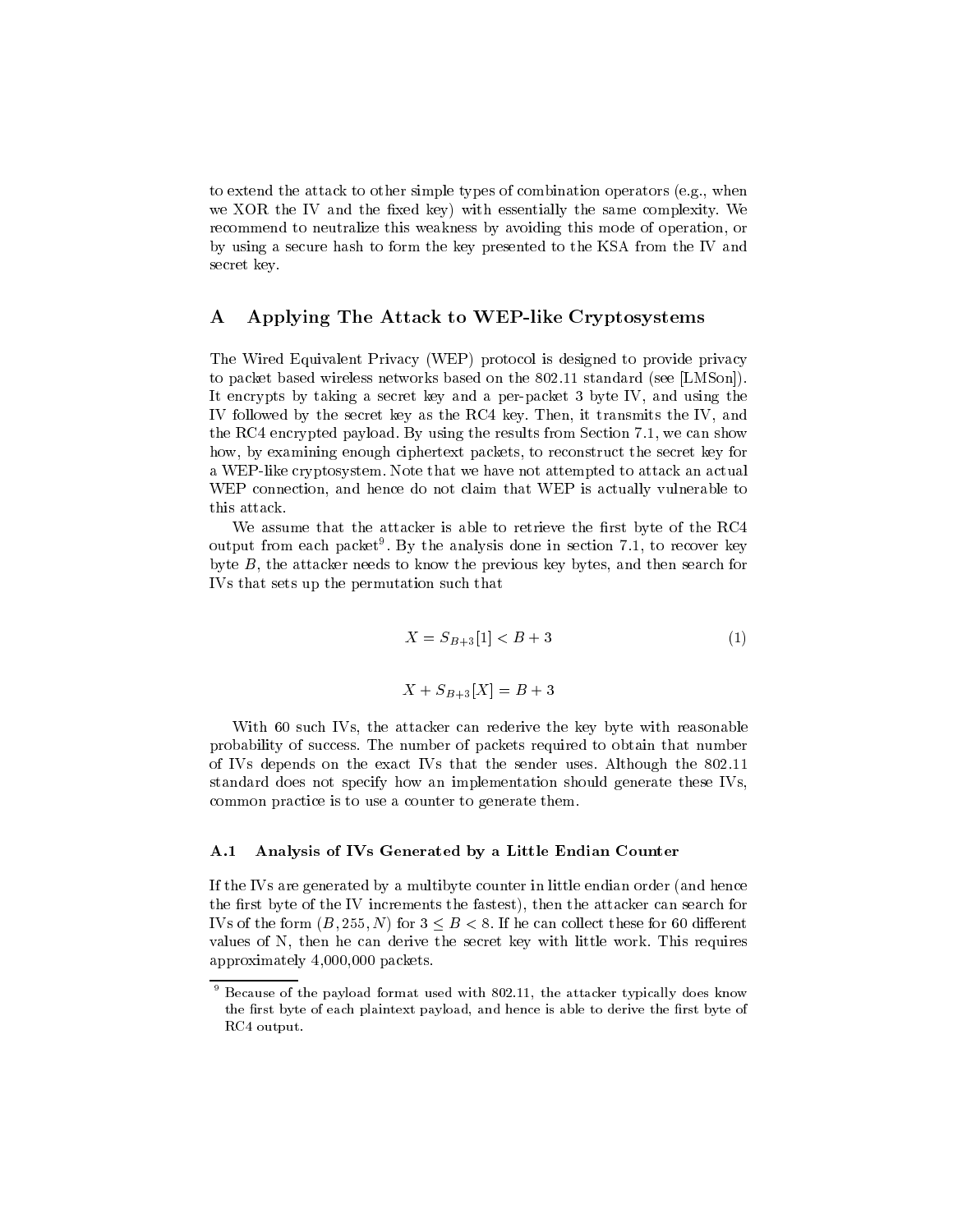to extend the attack to other simple types of combination operators (e.g., when we XOR the IV and the fixed key) with essentially the same complexity. We recommend to neutralize this weakness by avoiding this mode of operation, or by using a secure hash to form the key presented to the KSA from the IV and secret key.

## A Applying The Attack to WEP-like Cryptosystems

The Wired Equivalent Privacy (WEP) protocol is designed to provide privacy to packet based wireless networks based on the 802.11 standard (see [LMSon]). It encrypts by taking a secret key and a per-packet 3 byte IV, and using the IV followed by the secret key as the RC4 key. Then, it transmits the IV, and the RC4 encrypted payload. By using the results from Section 7.1, we can show how, by examining enough ciphertext packets, to reconstruct the secret key for a WEP-like cryptosystem. Note that we have not attempted to attack an actual WEP connection, and hence do not claim that WEP is actually vulnerable to this attack.

We assume that the attacker is able to retrieve the first byte of the RC4 output from each packet9 . By the analysis done in section 7.1, to recover key byte B, the attacker needs to know the previous key bytes, and then search for IVs that sets up the permutation such that

$$
X = S_{B+3}[1] < B+3 \tag{1}
$$
\n
$$
X + S_{B+3}[X] = B+3
$$

With 60 such IVs, the attacker can rederive the key byte with reasonable probability of success. The number of packets required to obtain that number of IVs depends on the exact IVs that the sender uses. Although the 802.11 standard does not specify how an implementation should generate these IVs, common practice is to use a counter to generate them.

#### A.1 Analysis of IVs Generated by a Little Endian Counter

If the IVs are generated byamultibyte counter in little endian order (and hence the first byte of the IV increments the fastest), then the attacker can search for IVs of the form  $(B, 255, N)$  for  $3 \leq B < 8$ . If he can collect these for 60 different values of N, then he can derive the secret key with little work. This requires approximately 4,000,000 packets.

<sup>9</sup> Because of the payload format used with 802.11, the attacker typically does know the first byte of each plaintext payload, and hence is able to derive the first byte of RC4 output.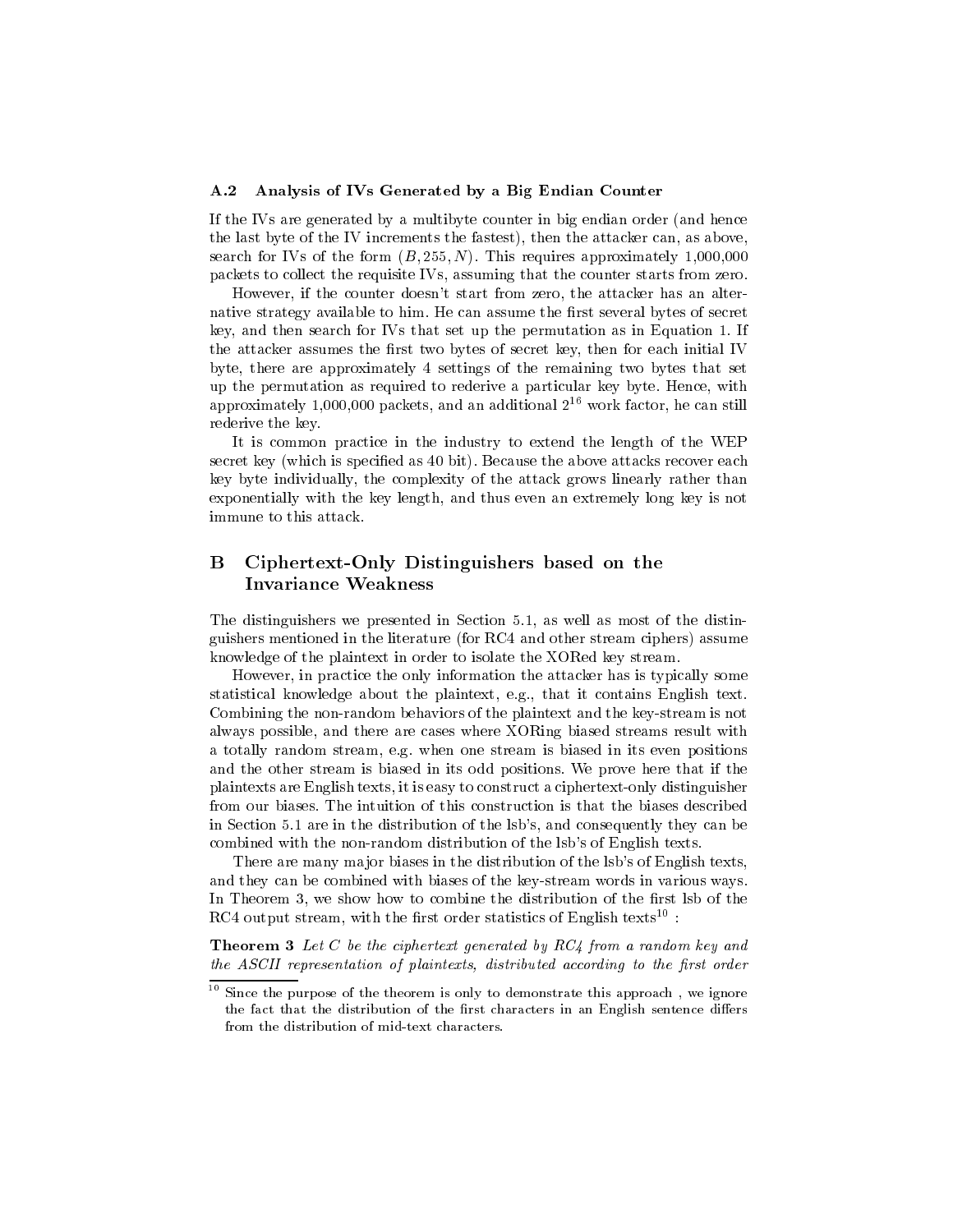#### A.2 Analysis of IVs Generated by a Big Endian Counter

If the IVs are generated by a multibyte counter in big endian order (and hence the last byte of the IV increments the fastest), then the attacker can, as above, search for IVs of the form  $(B, 255, N)$ . This requires approximately 1,000,000 packets to collect the requisite IVs, assuming that the counter starts from zero.

However, if the counter doesn't start from zero, the attacker has an alternative strategy available to him. He can assume the first several bytes of secret key, and then search for IVs that set up the permutation as in Equation 1. If the attacker assumes the first two bytes of secret key, then for each initial IV byte, there are approximately 4 settings of the remaining two bytes that set up the permutation as required to rederive a particular key byte. Hence, with approximately 1,000,000 packets, and an additional  $2^{16}$  work factor, he can still rederive the key.

It is common practice in the industry to extend the length of the WEP secret key (which is specified as 40 bit). Because the above attacks recover each key byte individually, the complexity of the attack grows linearly rather than exponentially with the key length, and thus even an extremely long key is not immune to this attack.

#### $\bf{B}$ Ciphertext-Only Distinguishers based on the **Invariance Weakness**

The distinguishers we presented in Section 5.1, as well as most of the distinguishers mentioned in the literature (for RC4 and other stream ciphers) assume knowledge of the plaintext in order to isolate the XORed key stream.

However, in practice the only information the attacker has is typically some statistical knowledge about the plaintext, e.g., that it contains English text. Combining the non-random behaviors of the plaintext and the key-stream is not always possible, and there are cases where XORing biased streams result with a totally random stream, e.g. when one stream is biased in its even positions and the other stream is biased in its odd positions. We prove here that if the plaintexts are English texts, it is easy to construct a ciphertext-only distinguisher from our biases. The intuition of this construction is that the biases described in Section 5.1 are in the distribution of the lsb's, and consequently they can be combined with the non-random distribution of the lsb's of English texts.

There are many major biases in the distribution of the lsb's of English texts, and they can be combined with biases of the key-stream words in various ways. In Theorem 3, we show how to combine the distribution of the first lsb of the RC4 output stream, with the first order statistics of English texts<sup>10</sup>:

**Theorem 3** Let C be the ciphertext generated by  $RC4$  from a random key and the ASCII representation of plaintexts, distributed according to the first order

<sup>10</sup> Since the purpose of the theorem is only to demonstrate this approach,we ignore the fact that the distribution of the first characters in an English sentence differs from the distribution of mid-text characters.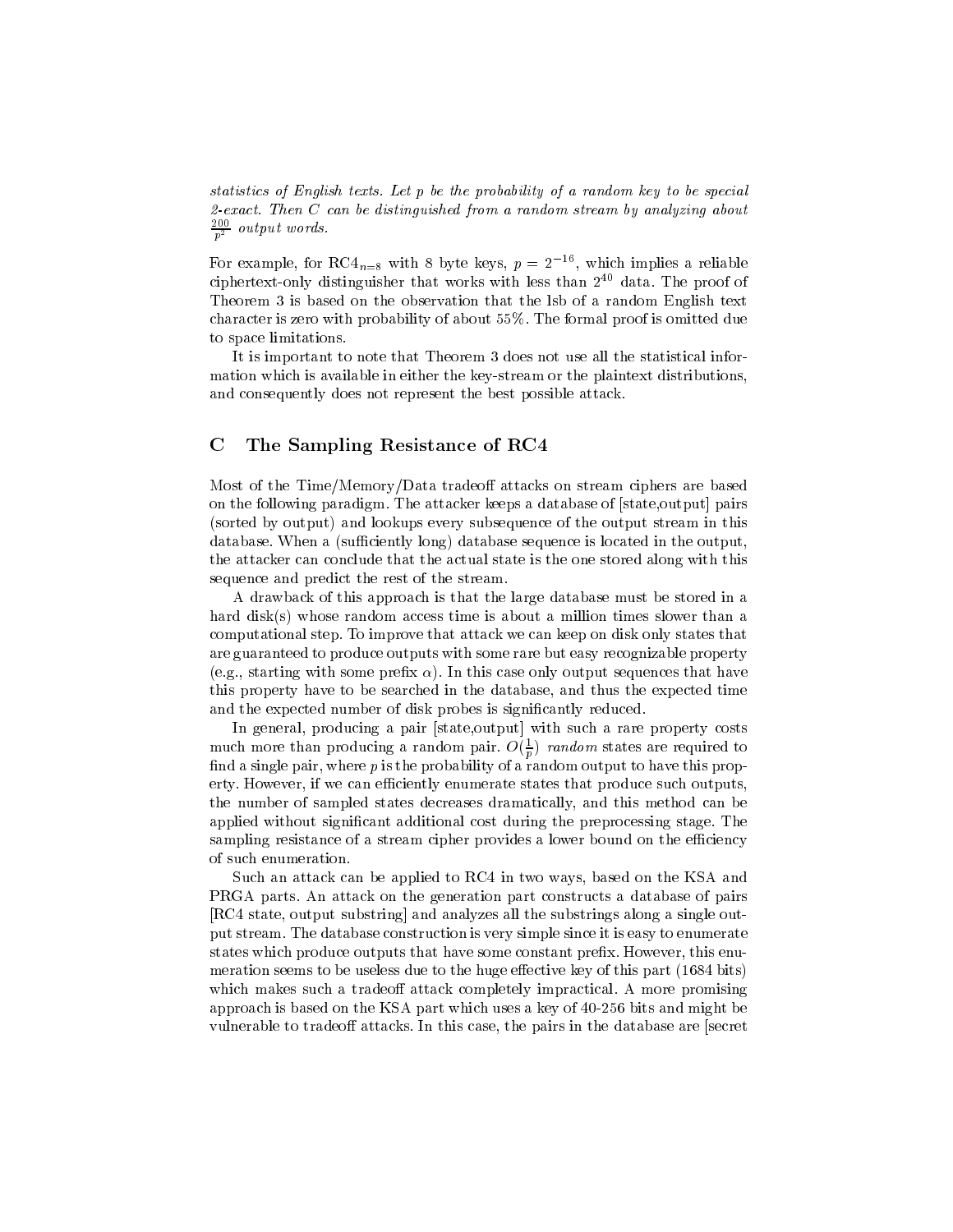statistics of English texts. Let p be the probability of a random key to be special 2-exact. Then  $C$  can be distinguished from a random stream by analyzing about  $\frac{2}{p^2}$  output words.

For example, for  $K\cup_{n=8}$  with 8 byte keys,  $p = 2,3,4$  which implies a reliable ciphertext-only distinguisher that works with less than  $2^{40}$  data. The proof of Theorem 3 is based on the observation that the lsb of a random English text character is zero with probability of about 55%. The formal proof is omitted due to space limitations.

It is important to note that Theorem 3 does not use all the statistical information which is available in either the key-stream or the plaintext distributions, and consequently does not represent the best possible attack.

## C The Sampling Resistance of RC4

Most of the Time/Memory/Data tradeoff attacks on stream ciphers are based on the following paradigm. The attacker keeps a database of [state,output] pairs (sorted by output) and lookups every subsequence of the output stream in this database. When a (sufficiently long) database sequence is located in the output, the attacker can conclude that the actual state is the one stored along with this sequence and predict the rest of the stream.

A drawback of this approach is that the large database must be stored in a hard disk(s) whose random access time is about a million times slower than a computational step. To improve that attack we can keep on disk only states that are guaranteed to produce outputs with some rare but easy recognizable property (e.g., starting with some prefix  $\alpha$ ). In this case only output sequences that have this property have to be searched in the database, and thus the expected time and the expected number of disk probes is signicantly reduced.

In general, producing a pair [state,output] with such a rare property costs much more than producing a random pair.  $O(\frac{1}{p})$  random states are required to find a single pair, where p is the probability of a random output to have this property. However, if we can efficiently enumerate states that produce such outputs, the number of sampled states decreases dramatically, and this method can be applied without signicant additional cost during the preprocessing stage. The sampling resistance of a stream cipher provides a lower bound on the efficiency of such enumeration.

Such an attack can be applied to RC4 in two ways, based on the KSA and PRGA parts. An attack on the generation part constructs a database of pairs [RC4 state, output substring] and analyzes all the substrings along a single output stream. The database construction is very simple since it is easy to enumerate states which produce outputs that have some constant prex. However, this enumeration seems to be useless due to the huge effective key of this part (1684 bits) which makes such a tradeoff attack completely impractical. A more promising approach is based on the KSA part which uses a key of 40-256 bits and might be vulnerable to tradeoff attacks. In this case, the pairs in the database are [secret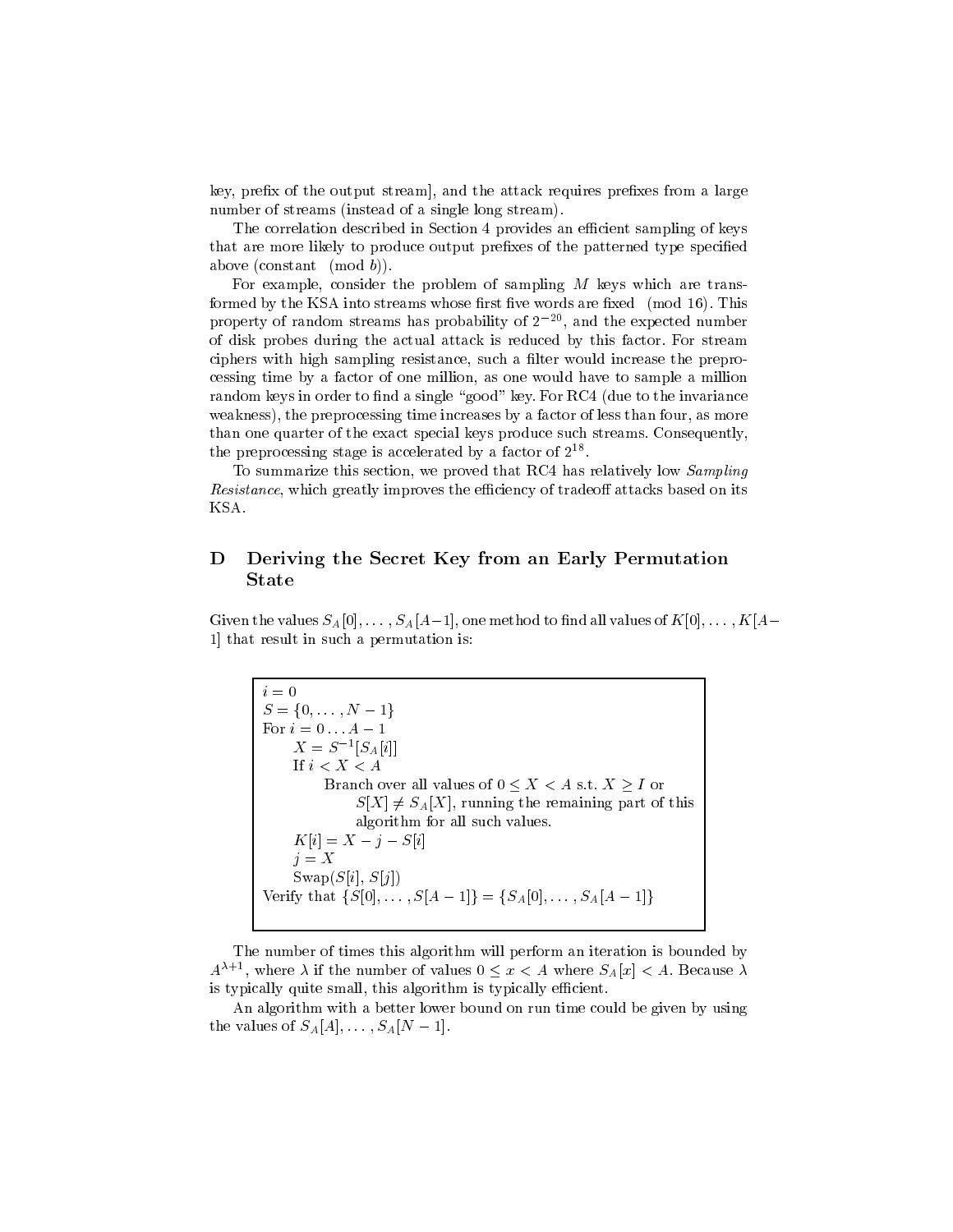key, prefix of the output stream], and the attack requires prefixes from a large number of streams (instead of a single long stream).

The correlation described in Section 4 provides an efficient sampling of keys that are more likely to produce output prefixes of the patterned type specified above (constant  $(mod b)$ ).

For example, consider the problem of sampling  $M$  keys which are transformed by the KSA into streams whose first five words are fixed (mod 16). This property of random streams has probability of  $2^{-20}$ , and the expected number of disk probes during the actual attack is reduced by this factor. For stream ciphers with high sampling resistance, such a filter would increase the preprocessing time by a factor of one million, as one would have to sample a million random keys in order to find a single "good" key. For RC4 (due to the invariance weakness), the preprocessing time increases by a factor of less than four, as more than one quarter of the exact special keys produce such streams. Consequently, the preprocessing stage is accelerated by a factor of  $2^{++}$ .

To summarize this section, we proved that RC4 has relatively low Sampling Resistance, which greatly improves the efficiency of tradeoff attacks based on its

#### D Deriving the Secret Key from an Early Permutation State

Given the values  $S_A[0], \ldots, S_A[A-1]$ , one method to find all values of  $K[0], \ldots, K[A-1]$ 1] that result in such a permutation is:

 $i=0$  $S = \{0, \ldots, N-1\}$ For  $i = 0, \ldots, n - 1$  $\Lambda = \mathcal{S}$   $|\mathcal{S}_A[i]|$ If  $i < X < A$ Branch over all values of  $0 \leq X < A$  s.t.  $X \geq I$  or  $S[X] \neq S_A[X]$ , running the remaining part of this algorithm for all such values.  $K[i] = X - j - S[i]$  $j = X$ Verify that  $\{S[0], \ldots, S[A-1]\} = \{S_A[0], \ldots, S_A[A-1]\}$ 

The number of times this algorithm will perform an iteration is bounded by  $A^{\lambda+1}$ , where  $\lambda$  if the number of values  $0 \leq x < A$  where  $S_A[x] < A$ . Because  $\lambda$ is typically quite small, this algorithm is typically efficient.

An algorithm with a better lower bound on run time could be given by using the values of  $S_A[A], \ldots, S_A[N-1]$ .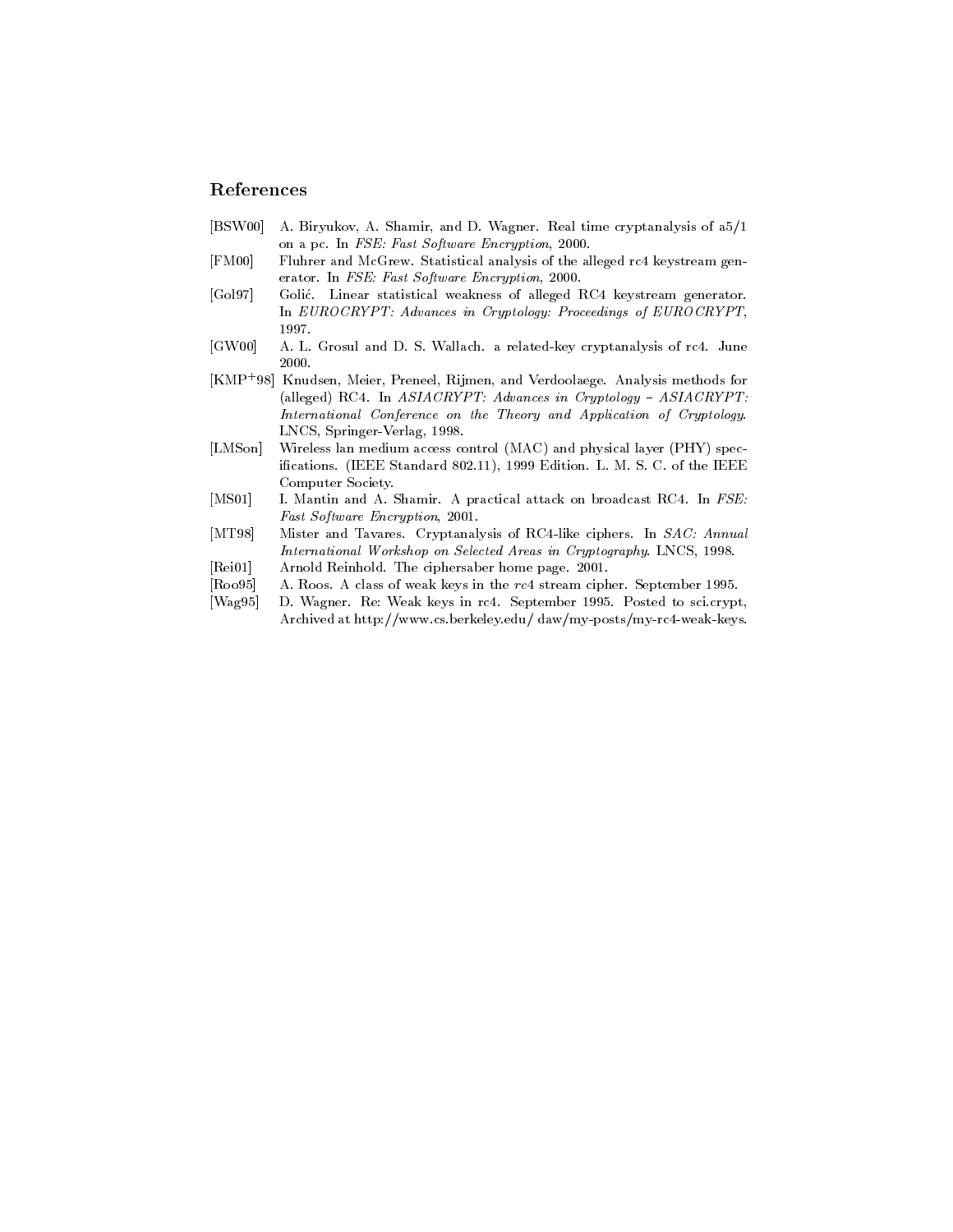## References

- [BSW00] A. Biryukov, A. Shamir, and D. Wagner. Real time cryptanalysis of a5/1 on a pc. In FSE: Fast Software Encryption, 2000.
- [FM00] Fluhrer and McGrew. Statistical analysis of the alleged rc4 keystream generator. In FSE: Fast Software Encryption, 2000.
- [Gol97] Golic. Linear statistical weakness of alleged RC4 keystream generator. In EUROCRYPT: Advances in Cryptology: Proceedings of EUROCRYPT,
- [GW00] A. L. Grosul and D. S. Wallach. a related-key cryptanalysis of rc4. June 2000.
- [KMP+ 98] Knudsen, Meier, Preneel, Rijmen, and Verdoolaege. Analysis methods for (alleged) RC4. In  $ASIACRYPT$ : Advances in Cryptology -  $ASIACRYPT$ : International Conference on the Theory and Application of Cryptology. LNCS, Springer-Verlag, 1998.
- [LMSon] Wireless lan medium access control (MAC) and physical layer (PHY) specications. (IEEE Standard 802.11), 1999 Edition. L. M. S. C. of the IEEE Computer Society.
- [MS01] I. Mantin and A. Shamir. A practical attack on broadcast RC4. In FSE: Fast Software Encryption, 2001.
- [MT98] Mister and Tavares. Cryptanalysis of RC4-like ciphers. In SAC: Annual International Workshop on Selected Areas in Cryptography. LNCS, 1998.
- [Rei01] Arnold Reinhold. The ciphersaber home page. 2001.
- [Roo95] A. Roos. A class of weak keys in the rc4 stream cipher. September 1995.
- [Wag95] D. Wagner. Re: Weak keys in rc4. September 1995. Posted to sci.crypt, Archived at http://www.cs.berkeley.edu/ daw/my-posts/my-rc4-weak-keys.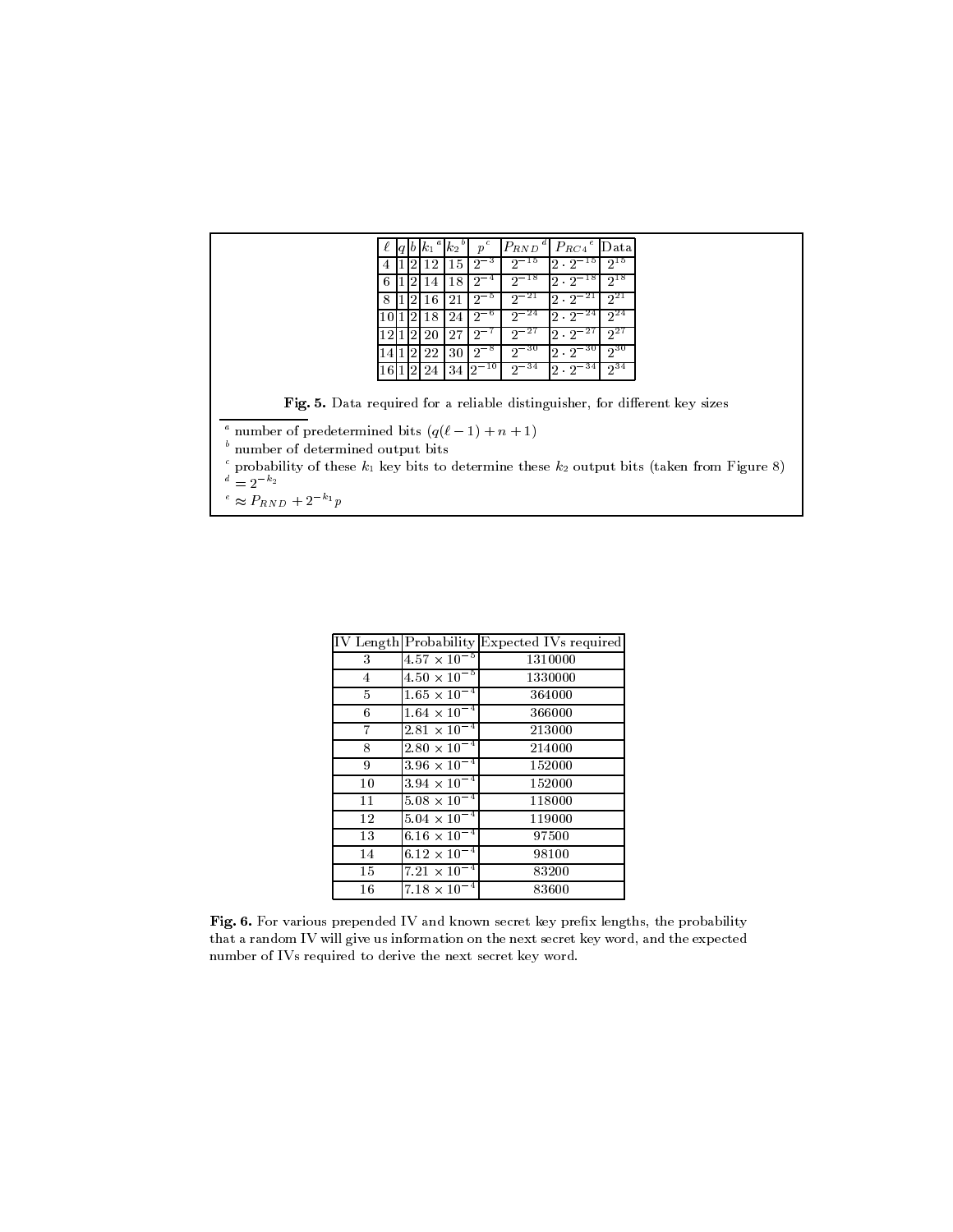|                                  | $p^c$<br>$ P_{RND}^{\ a} $<br>$P_{RC4}{}^e$ Data<br>$k_1$<br>$k_2$                                        |
|----------------------------------|-----------------------------------------------------------------------------------------------------------|
|                                  | $2^{15}$<br>$2^{-15}$<br>$2 \cdot 2^{-15}$<br>$2^{-3}$<br>15<br>12                                        |
|                                  | $2^{-18}$<br>$2^{18}$<br>$\lfloor 2 \cdot 2^{-18} \rfloor$<br>$2^{-4}$<br>18<br>14<br>h                   |
|                                  | $2^{-21}$<br>$2^{21}$<br>$2 \cdot 2^{-2}$<br>$2^{-5}$<br>21<br>16                                         |
|                                  | $2^{-24}$<br>$2^{24}$<br>$2 \cdot 2^{-24}$<br>$2^{-6}$<br>18<br>24                                        |
|                                  | $2^{-27}$<br>$2^{27}$<br>$2 \cdot 2^{-27}$<br>$2^{-7}$<br>27<br>20                                        |
|                                  | $2^{-30}$<br>$2^{30}$<br>$2 \cdot 2^{-30}$<br>$2^{-8}$<br>30<br>22                                        |
|                                  | $2^{-34}$<br>$2^{34}$<br>$2 \cdot 2^{-34}$<br>$34 \, 2^{-10}$<br><b>24</b> l                              |
|                                  | <b>Fig. 5.</b> Data required for a reliable distinguisher, for different key sizes                        |
|                                  | <sup>a</sup> number of predetermined bits $(q(\ell-1)+n+1)$                                               |
| number of determined output bits |                                                                                                           |
| $a^{d} = 2^{-k_2}$               | $\epsilon$ probability of these $k_1$ key bits to determine these $k_2$ output bits (taken from Figure 8) |
| $\sim$ $\sim$                    |                                                                                                           |

 $\degree \approx P_{RND} + 2 \degree p$ 

|                |                                | IV Length Probability Expected IVs required |
|----------------|--------------------------------|---------------------------------------------|
| 3              | $4.57 \times 10^{-5}$          | 1310000                                     |
| $\overline{4}$ | $4.50 \times 10^{-5}$          | 1330000                                     |
| 5              | $1.65 \times 10^{-4}$          | 364000                                      |
| 6              | $1.64 \times 10^{-4}$          | 366000                                      |
| 7              | $2.81 \times 10^{-4}$          | 213000                                      |
| 8              | $2.80 \times 10^{-4}$          | 214000                                      |
| 9              | $3.96 \times 10^{-4}$          | 152000                                      |
| 10             | $3.94 \times 10^{-4}$          | 152000                                      |
| 11             | $5.08 \times 10^{-4}$          | 118000                                      |
| 12             | $5.04 \times 10^{-4}$          | 119000                                      |
| 13             | 6.16 $\times$ 10 <sup>-4</sup> | 97500                                       |
| 14             | $6.12 \times 10^{-4}$          | 98100                                       |
| 15             | $7.21 \times 10^{-4}$          | 83200                                       |
| 16             | $7.18 \times 10^{-4}$          | 83600                                       |

Fig. 6. For various prepended IV and known secret key prefix lengths, the probability that a random IV will give us information on the next secret key word, and the expected number of IVs required to derive the next secret key word.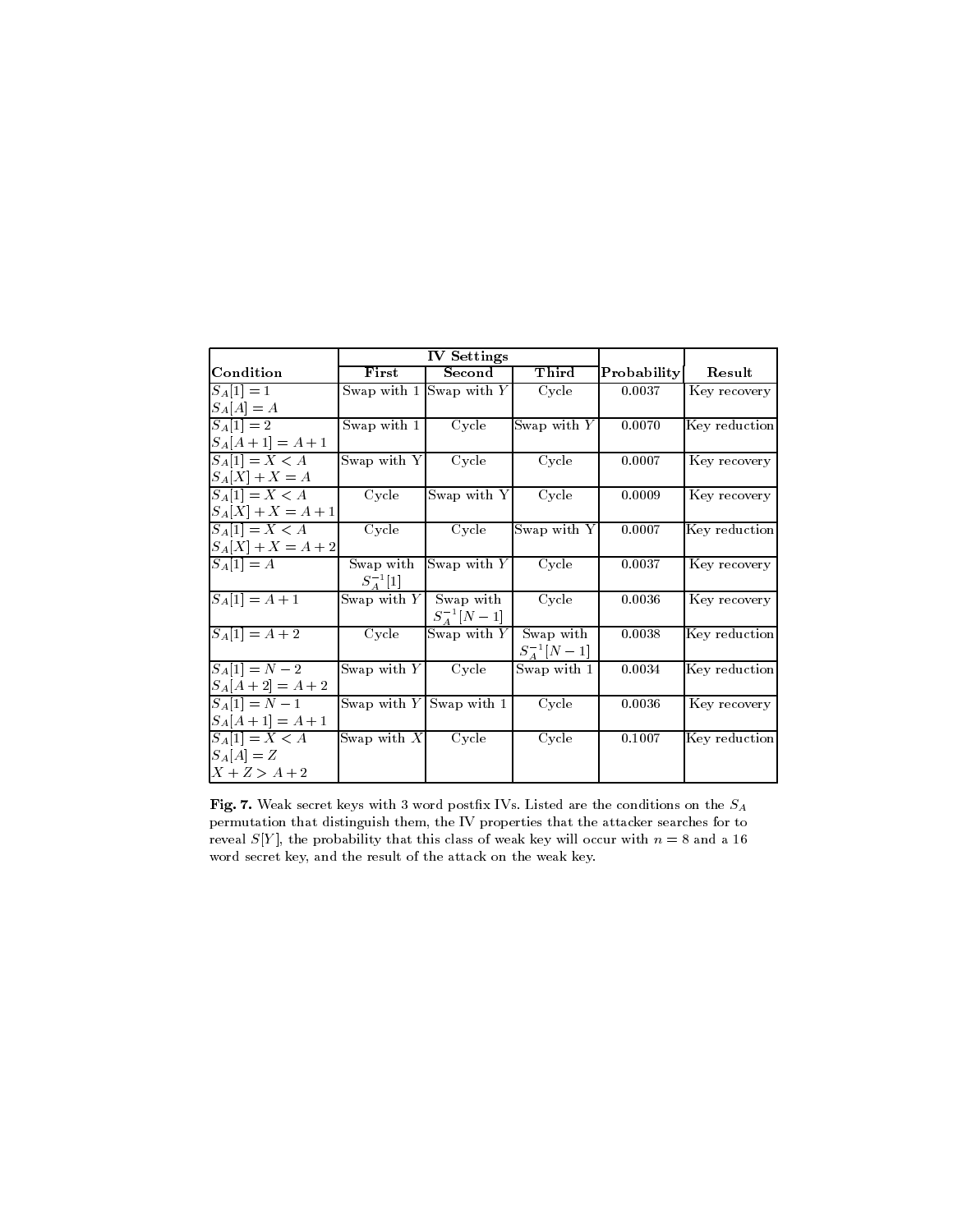|                         | <b>IV Settings</b>       |                           |                 |                    |               |  |
|-------------------------|--------------------------|---------------------------|-----------------|--------------------|---------------|--|
| Condition               | First                    | Second                    | Third           | <b>Probability</b> | Result        |  |
| $ S_A[1] = 1$           |                          | Swap with $1$ Swap with Y | Cycle           | 0.0037             | Key recovery  |  |
| $S_A[A] = A$            |                          |                           |                 |                    |               |  |
| $S_A[1]=2$              | Swap with $1$            | Cycle                     | Swap with $Y$   | 0.0070             | Key reduction |  |
| $ S_A[A+1] = A+1$       |                          |                           |                 |                    |               |  |
| $ S_A[1] = X < A$       | Swap with Y              | Cycle                     | Cycle           | 0.0007             | Key recovery  |  |
| $S_A[X] + X = A$        |                          |                           |                 |                    |               |  |
| $ S_A[1] = X < A$       | Cycle                    | Swap with Y               | Cycle           | 0.0009             | Key recovery  |  |
| $ S_A[X] + X = A + 1 $  |                          |                           |                 |                    |               |  |
| $ S_A[1] = X < A$       | Cycle                    | Cycle                     | Swap with Y     | 0.0007             | Key reduction |  |
| $ S_A[X] + X = A + 2 $  |                          |                           |                 |                    |               |  |
| $\overline{S_A}[1] = A$ | Swap with                | Swap with $Y$             | Cycle           | 0.0037             | Key recovery  |  |
|                         | $S_4^{-1}[1]$            |                           |                 |                    |               |  |
| $S_A[1] = A + 1$        | Swap with $Y$            | Swap with                 | Cycle           | 0.0036             | Key recovery  |  |
|                         |                          | $S_4^{-1}[N-1]$           |                 |                    |               |  |
| $S_A[1] = A + 2$        | Cycle                    | Swap with $Y$             | Swap with       | 0.0038             | Key reduction |  |
|                         |                          |                           | $S_A^{-1}[N-1]$ |                    |               |  |
| $ S_A[1] = N - 2$       | Swap with $Y$            | Cycle                     | Swap with 1     | 0.0034             | Key reduction |  |
| $[S_A[A + 2] = A + 2]$  |                          |                           |                 |                    |               |  |
| $S_A[1] = N - 1$        |                          | Swap with $Y$ Swap with 1 | Cycle           | 0.0036             | Key recovery  |  |
| $[S_A[A+1] = A + 1]$    |                          |                           |                 |                    |               |  |
| $ S_A[1] = X < A$       | Swap with $\overline{X}$ | Cycle                     | Cycle           | 0.1007             | Key reduction |  |
| $S_A[A] = Z$            |                          |                           |                 |                    |               |  |
| $X + Z > A + 2$         |                          |                           |                 |                    |               |  |

Fig. 7. Weak secret keys with 3 word postfix IVs. Listed are the conditions on the  $S_A$ permutation that distinguish them, the IV properties that the attacker searches for to reveal  $S[Y]$ , the probability that this class of weak key will occur with  $n = 8$  and a 16 word secret key, and the result of the attack on the weak key.